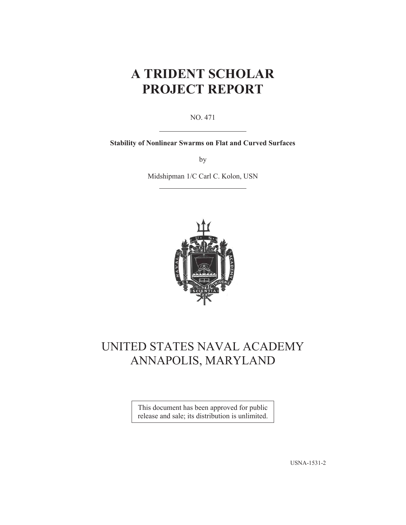# **A TRIDENT SCHOLAR PROJECT REPORT**

NO. 471

**Stability of Nonlinear Swarms on Flat and Curved Surfaces** 

by

Midshipman 1/C Carl C. Kolon, USN



# UNITED STATES NAVAL ACADEMY ANNAPOLIS, MARYLAND

This document has been approved for public release and sale; its distribution is unlimited.

USNA-1531-2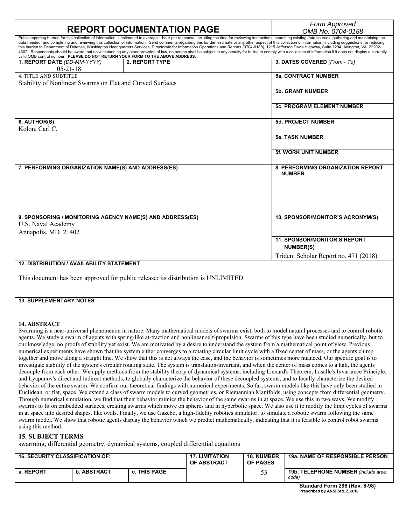| <b>REPORT DOCUMENTATION PAGE</b>                                                                                                                                                                                                                                                                                                                                                                                                                                                                                                                                                                                                                                                                                                                                                                                                                                                                                                                                                                                                                                                                                                                                                                                                                                                                                                                                                                                                                                                                                                                                                                                                                                                                                                                                                                                                                                                                                                                                                                                                                                                                                                                                                                                                                                                                    |                       |                                      |                               | Form Approved<br>OMB No. 0704-0188                                                                                                                                                                                                                                                                                                                                                                                                              |  |
|-----------------------------------------------------------------------------------------------------------------------------------------------------------------------------------------------------------------------------------------------------------------------------------------------------------------------------------------------------------------------------------------------------------------------------------------------------------------------------------------------------------------------------------------------------------------------------------------------------------------------------------------------------------------------------------------------------------------------------------------------------------------------------------------------------------------------------------------------------------------------------------------------------------------------------------------------------------------------------------------------------------------------------------------------------------------------------------------------------------------------------------------------------------------------------------------------------------------------------------------------------------------------------------------------------------------------------------------------------------------------------------------------------------------------------------------------------------------------------------------------------------------------------------------------------------------------------------------------------------------------------------------------------------------------------------------------------------------------------------------------------------------------------------------------------------------------------------------------------------------------------------------------------------------------------------------------------------------------------------------------------------------------------------------------------------------------------------------------------------------------------------------------------------------------------------------------------------------------------------------------------------------------------------------------------|-----------------------|--------------------------------------|-------------------------------|-------------------------------------------------------------------------------------------------------------------------------------------------------------------------------------------------------------------------------------------------------------------------------------------------------------------------------------------------------------------------------------------------------------------------------------------------|--|
| data needed, and completing and reviewing this collection of information. Send comments regarding this burden estimate or any other aspect of this collection of information, including suggestions for reducing<br>this burden to Department of Defense, Washington Headquarters Services, Directorate for Information Operations and Reports (0704-0188), 1215 Jefferson Davis Highway, Suite 1204, Arlington, VA 22202-<br>valid OMB control number. PLEASE DO NOT RETURN YOUR FORM TO THE ABOVE ADDRESS.                                                                                                                                                                                                                                                                                                                                                                                                                                                                                                                                                                                                                                                                                                                                                                                                                                                                                                                                                                                                                                                                                                                                                                                                                                                                                                                                                                                                                                                                                                                                                                                                                                                                                                                                                                                        |                       |                                      |                               | Public reporting burden for this collection of information is estimated to average 1 hour per response, including the time for reviewing instructions, searching existing data sources, gathering and maintaining the<br>4302. Respondents should be aware that notwithstanding any other provision of law, no person shall be subject to any penalty for failing to comply with a collection of information if it does not display a currently |  |
| 1. REPORT DATE (DD-MM-YYYY)<br>$05 - 21 - 18$                                                                                                                                                                                                                                                                                                                                                                                                                                                                                                                                                                                                                                                                                                                                                                                                                                                                                                                                                                                                                                                                                                                                                                                                                                                                                                                                                                                                                                                                                                                                                                                                                                                                                                                                                                                                                                                                                                                                                                                                                                                                                                                                                                                                                                                       | <b>2. REPORT TYPE</b> |                                      |                               | 3. DATES COVERED (From - To)                                                                                                                                                                                                                                                                                                                                                                                                                    |  |
| <b>4. TITLE AND SUBTITLE</b><br>Stability of Nonlinear Swarms on Flat and Curved Surfaces                                                                                                                                                                                                                                                                                                                                                                                                                                                                                                                                                                                                                                                                                                                                                                                                                                                                                                                                                                                                                                                                                                                                                                                                                                                                                                                                                                                                                                                                                                                                                                                                                                                                                                                                                                                                                                                                                                                                                                                                                                                                                                                                                                                                           |                       |                                      |                               | <b>5a. CONTRACT NUMBER</b>                                                                                                                                                                                                                                                                                                                                                                                                                      |  |
|                                                                                                                                                                                                                                                                                                                                                                                                                                                                                                                                                                                                                                                                                                                                                                                                                                                                                                                                                                                                                                                                                                                                                                                                                                                                                                                                                                                                                                                                                                                                                                                                                                                                                                                                                                                                                                                                                                                                                                                                                                                                                                                                                                                                                                                                                                     |                       |                                      |                               | <b>5b. GRANT NUMBER</b>                                                                                                                                                                                                                                                                                                                                                                                                                         |  |
|                                                                                                                                                                                                                                                                                                                                                                                                                                                                                                                                                                                                                                                                                                                                                                                                                                                                                                                                                                                                                                                                                                                                                                                                                                                                                                                                                                                                                                                                                                                                                                                                                                                                                                                                                                                                                                                                                                                                                                                                                                                                                                                                                                                                                                                                                                     |                       |                                      |                               | <b>5c. PROGRAM ELEMENT NUMBER</b>                                                                                                                                                                                                                                                                                                                                                                                                               |  |
| 6. AUTHOR(S)<br>Kolon, Carl C.                                                                                                                                                                                                                                                                                                                                                                                                                                                                                                                                                                                                                                                                                                                                                                                                                                                                                                                                                                                                                                                                                                                                                                                                                                                                                                                                                                                                                                                                                                                                                                                                                                                                                                                                                                                                                                                                                                                                                                                                                                                                                                                                                                                                                                                                      |                       |                                      |                               | <b>5d. PROJECT NUMBER</b>                                                                                                                                                                                                                                                                                                                                                                                                                       |  |
|                                                                                                                                                                                                                                                                                                                                                                                                                                                                                                                                                                                                                                                                                                                                                                                                                                                                                                                                                                                                                                                                                                                                                                                                                                                                                                                                                                                                                                                                                                                                                                                                                                                                                                                                                                                                                                                                                                                                                                                                                                                                                                                                                                                                                                                                                                     |                       |                                      |                               | <b>5e. TASK NUMBER</b>                                                                                                                                                                                                                                                                                                                                                                                                                          |  |
|                                                                                                                                                                                                                                                                                                                                                                                                                                                                                                                                                                                                                                                                                                                                                                                                                                                                                                                                                                                                                                                                                                                                                                                                                                                                                                                                                                                                                                                                                                                                                                                                                                                                                                                                                                                                                                                                                                                                                                                                                                                                                                                                                                                                                                                                                                     |                       |                                      |                               | <b>5f. WORK UNIT NUMBER</b>                                                                                                                                                                                                                                                                                                                                                                                                                     |  |
| 7. PERFORMING ORGANIZATION NAME(S) AND ADDRESS(ES)                                                                                                                                                                                                                                                                                                                                                                                                                                                                                                                                                                                                                                                                                                                                                                                                                                                                                                                                                                                                                                                                                                                                                                                                                                                                                                                                                                                                                                                                                                                                                                                                                                                                                                                                                                                                                                                                                                                                                                                                                                                                                                                                                                                                                                                  |                       |                                      |                               | 8. PERFORMING ORGANIZATION REPORT<br><b>NUMBER</b>                                                                                                                                                                                                                                                                                                                                                                                              |  |
|                                                                                                                                                                                                                                                                                                                                                                                                                                                                                                                                                                                                                                                                                                                                                                                                                                                                                                                                                                                                                                                                                                                                                                                                                                                                                                                                                                                                                                                                                                                                                                                                                                                                                                                                                                                                                                                                                                                                                                                                                                                                                                                                                                                                                                                                                                     |                       |                                      |                               |                                                                                                                                                                                                                                                                                                                                                                                                                                                 |  |
| 9. SPONSORING / MONITORING AGENCY NAME(S) AND ADDRESS(ES)<br>U.S. Naval Academy                                                                                                                                                                                                                                                                                                                                                                                                                                                                                                                                                                                                                                                                                                                                                                                                                                                                                                                                                                                                                                                                                                                                                                                                                                                                                                                                                                                                                                                                                                                                                                                                                                                                                                                                                                                                                                                                                                                                                                                                                                                                                                                                                                                                                     |                       |                                      |                               | 10. SPONSOR/MONITOR'S ACRONYM(S)                                                                                                                                                                                                                                                                                                                                                                                                                |  |
| Annapolis, MD 21402                                                                                                                                                                                                                                                                                                                                                                                                                                                                                                                                                                                                                                                                                                                                                                                                                                                                                                                                                                                                                                                                                                                                                                                                                                                                                                                                                                                                                                                                                                                                                                                                                                                                                                                                                                                                                                                                                                                                                                                                                                                                                                                                                                                                                                                                                 |                       |                                      |                               | <b>11. SPONSOR/MONITOR'S REPORT</b>                                                                                                                                                                                                                                                                                                                                                                                                             |  |
|                                                                                                                                                                                                                                                                                                                                                                                                                                                                                                                                                                                                                                                                                                                                                                                                                                                                                                                                                                                                                                                                                                                                                                                                                                                                                                                                                                                                                                                                                                                                                                                                                                                                                                                                                                                                                                                                                                                                                                                                                                                                                                                                                                                                                                                                                                     |                       |                                      |                               | <b>NUMBER(S)</b>                                                                                                                                                                                                                                                                                                                                                                                                                                |  |
| <b>12. DISTRIBUTION / AVAILABILITY STATEMENT</b>                                                                                                                                                                                                                                                                                                                                                                                                                                                                                                                                                                                                                                                                                                                                                                                                                                                                                                                                                                                                                                                                                                                                                                                                                                                                                                                                                                                                                                                                                                                                                                                                                                                                                                                                                                                                                                                                                                                                                                                                                                                                                                                                                                                                                                                    |                       |                                      |                               | Trident Scholar Report no. 471 (2018)                                                                                                                                                                                                                                                                                                                                                                                                           |  |
| This document has been approved for public release; its distribution is UNLIMITED.                                                                                                                                                                                                                                                                                                                                                                                                                                                                                                                                                                                                                                                                                                                                                                                                                                                                                                                                                                                                                                                                                                                                                                                                                                                                                                                                                                                                                                                                                                                                                                                                                                                                                                                                                                                                                                                                                                                                                                                                                                                                                                                                                                                                                  |                       |                                      |                               |                                                                                                                                                                                                                                                                                                                                                                                                                                                 |  |
| <b>13. SUPPLEMENTARY NOTES</b>                                                                                                                                                                                                                                                                                                                                                                                                                                                                                                                                                                                                                                                                                                                                                                                                                                                                                                                                                                                                                                                                                                                                                                                                                                                                                                                                                                                                                                                                                                                                                                                                                                                                                                                                                                                                                                                                                                                                                                                                                                                                                                                                                                                                                                                                      |                       |                                      |                               |                                                                                                                                                                                                                                                                                                                                                                                                                                                 |  |
|                                                                                                                                                                                                                                                                                                                                                                                                                                                                                                                                                                                                                                                                                                                                                                                                                                                                                                                                                                                                                                                                                                                                                                                                                                                                                                                                                                                                                                                                                                                                                                                                                                                                                                                                                                                                                                                                                                                                                                                                                                                                                                                                                                                                                                                                                                     |                       |                                      |                               |                                                                                                                                                                                                                                                                                                                                                                                                                                                 |  |
| 14. ABSTRACT<br>Swarming is a near-universal phenomenon in nature. Many mathematical models of swarms exist, both to model natural processes and to control robotic<br>agents. We study a swarm of agents with spring-like at-traction and nonlinear self-propulsion. Swarms of this type have been studied numerically, but to<br>our knowledge, no proofs of stability yet exist. We are motivated by a desire to understand the system from a mathematical point of view. Previous<br>numerical experiments have shown that the system either converges to a rotating circular limit cycle with a fixed center of mass, or the agents clump<br>together and move along a straight line. We show that this is not always the case, and the behavior is sometimes more nuanced. Our specific goal is to<br>investigate stability of the system's circular rotating state. The system is translation-invariant, and when the center of mass comes to a halt, the agents<br>decouple from each other. We apply methods from the stability theory of dynamical systems, including Lienard's Theorem, Lasalle's Invariance Principle,<br>and Lyapunov's direct and indirect methods, to globally characterize the behavior of these decoupled systems, and to locally characterize the desired<br>behavior of the entire swarm. We confirm our theoretical findings with numerical experiments. So far, swarm models like this have only been studied in<br>Euclidean, or flat, space. We extend a class of swarm models to curved geometries, or Riemannian Manifolds, using concepts from differential geometry.<br>Through numerical simulation, we find that their behavior mimics the behavior of the same swarms in at space. We use this in two ways. We modify<br>swarms to fit on embedded surfaces, creating swarms which move on spheres and in hyperbolic space. We also use it to modify the limit cycles of swarms<br>in at space into desired shapes, like ovals. Finally, we use Gazebo, a high-fidelity robotics simulator, to simulate a robotic swarm following the same<br>swarm model. We show that robotic agents display the behavior which we predict mathematically, indicating that it is feasible to control robot swarms<br>using this method.<br><b>15. SUBJECT TERMS</b> |                       |                                      |                               |                                                                                                                                                                                                                                                                                                                                                                                                                                                 |  |
| swarming, differential geometry, dynamical systems, coupled differential equations                                                                                                                                                                                                                                                                                                                                                                                                                                                                                                                                                                                                                                                                                                                                                                                                                                                                                                                                                                                                                                                                                                                                                                                                                                                                                                                                                                                                                                                                                                                                                                                                                                                                                                                                                                                                                                                                                                                                                                                                                                                                                                                                                                                                                  |                       |                                      |                               |                                                                                                                                                                                                                                                                                                                                                                                                                                                 |  |
| <b>16. SECURITY CLASSIFICATION OF:</b>                                                                                                                                                                                                                                                                                                                                                                                                                                                                                                                                                                                                                                                                                                                                                                                                                                                                                                                                                                                                                                                                                                                                                                                                                                                                                                                                                                                                                                                                                                                                                                                                                                                                                                                                                                                                                                                                                                                                                                                                                                                                                                                                                                                                                                                              |                       | <b>17. LIMITATION</b><br>OF ABSTRACT | <b>18. NUMBER</b><br>OF PAGES | 19a. NAME OF RESPONSIBLE PERSON                                                                                                                                                                                                                                                                                                                                                                                                                 |  |
| ADQTDAQT<br><b>DEDADT</b>                                                                                                                                                                                                                                                                                                                                                                                                                                                                                                                                                                                                                                                                                                                                                                                                                                                                                                                                                                                                                                                                                                                                                                                                                                                                                                                                                                                                                                                                                                                                                                                                                                                                                                                                                                                                                                                                                                                                                                                                                                                                                                                                                                                                                                                                           | THIS BACK             |                                      |                               | <b>JOL TELEBUOUE MUMBER</b>                                                                                                                                                                                                                                                                                                                                                                                                                     |  |

|           |                    |                     | <b>OF ABSTRACT</b> | <b>OF PAGES</b> |                                                    |
|-----------|--------------------|---------------------|--------------------|-----------------|----------------------------------------------------|
| a. REPORT | <b>b. ABSTRACT</b> | <b>c. THIS PAGE</b> |                    | ັັ              | <b>19b. TELEPHONE NUMBER</b> (include area<br>code |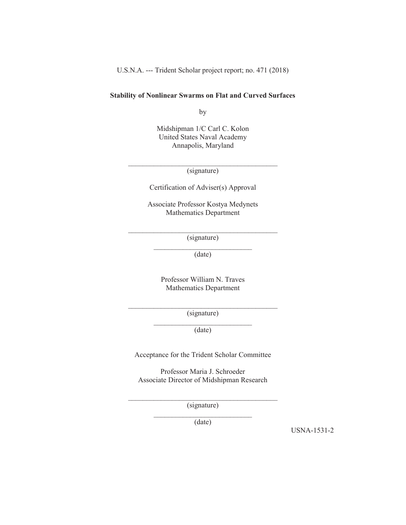U.S.N.A. --- Trident Scholar project report; no. 471 (2018)

### **Stability of Nonlinear Swarms on Flat and Curved Surfaces**

by

Midshipman 1/C Carl C. Kolon United States Naval Academy Annapolis, Maryland

\_\_\_\_\_\_\_\_\_\_\_\_\_\_\_\_\_\_\_\_\_\_\_\_\_\_\_\_\_\_\_\_\_\_\_\_\_\_\_\_\_ (signature)

Certification of Adviser(s) Approval

Associate Professor Kostya Medynets Mathematics Department

 $\mathcal{L}_\text{max}$ (signature)  $\frac{1}{2}$  ,  $\frac{1}{2}$  ,  $\frac{1}{2}$  ,  $\frac{1}{2}$  ,  $\frac{1}{2}$  ,  $\frac{1}{2}$  ,  $\frac{1}{2}$  ,  $\frac{1}{2}$  ,  $\frac{1}{2}$  ,  $\frac{1}{2}$  ,  $\frac{1}{2}$  ,  $\frac{1}{2}$  ,  $\frac{1}{2}$  ,  $\frac{1}{2}$  ,  $\frac{1}{2}$  ,  $\frac{1}{2}$  ,  $\frac{1}{2}$  ,  $\frac{1}{2}$  ,  $\frac{1$ 

(date)

Professor William N. Traves Mathematics Department

(signature)  $\mathcal{L}_\text{max}$ 

(date)

Acceptance for the Trident Scholar Committee

Professor Maria J. Schroeder Associate Director of Midshipman Research

 $\mathcal{L}_\text{max}$ (signature)

(date)

USNA-1531-2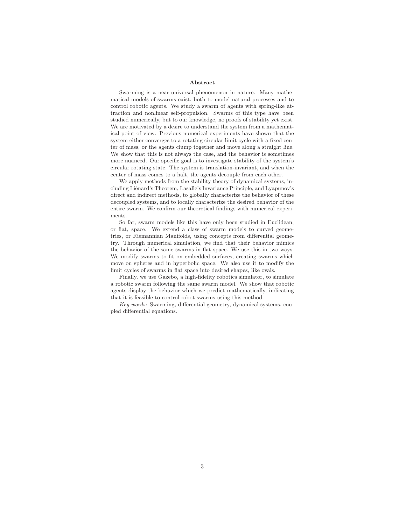#### **Abstract**

Swarming is a near-universal phenomenon in nature. Many mathematical models of swarms exist, both to model natural processes and to control robotic agents. We study a swarm of agents with spring-like attraction and nonlinear self-propulsion. Swarms of this type have been studied numerically, but to our knowledge, no proofs of stability yet exist. We are motivated by a desire to understand the system from a mathematical point of view. Previous numerical experiments have shown that the system either converges to a rotating circular limit cycle with a fixed center of mass, or the agents clump together and move along a straight line. We show that this is not always the case, and the behavior is sometimes more nuanced. Our specific goal is to investigate stability of the system's circular rotating state. The system is translation-invariant, and when the center of mass comes to a halt, the agents decouple from each other.

We apply methods from the stability theory of dynamical systems, including Liénard's Theorem, Lasalle's Invariance Principle, and Lyapunov's direct and indirect methods, to globally characterize the behavior of these decoupled systems, and to locally characterize the desired behavior of the entire swarm. We confirm our theoretical findings with numerical experiments.

So far, swarm models like this have only been studied in Euclidean, or flat, space. We extend a class of swarm models to curved geometries, or Riemannian Manifolds, using concepts from differential geometry. Through numerical simulation, we find that their behavior mimics the behavior of the same swarms in flat space. We use this in two ways. We modify swarms to fit on embedded surfaces, creating swarms which move on spheres and in hyperbolic space. We also use it to modify the limit cycles of swarms in flat space into desired shapes, like ovals.

Finally, we use Gazebo, a high-fidelity robotics simulator, to simulate a robotic swarm following the same swarm model. We show that robotic agents display the behavior which we predict mathematically, indicating that it is feasible to control robot swarms using this method.

Key words: Swarming, differential geometry, dynamical systems, coupled differential equations.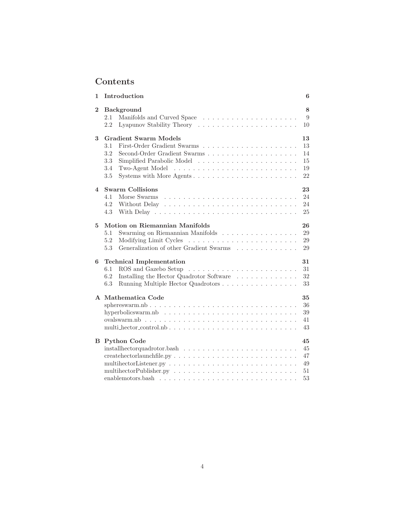# **Contents**

| 1        | Introduction                                                                                                                         | 6  |
|----------|--------------------------------------------------------------------------------------------------------------------------------------|----|
| $\bf{2}$ | Background                                                                                                                           | 8  |
|          | 2.1                                                                                                                                  | 9  |
|          | 2.2                                                                                                                                  | 10 |
| 3        | <b>Gradient Swarm Models</b>                                                                                                         | 13 |
|          | 3.1                                                                                                                                  | 13 |
|          | 3.2                                                                                                                                  | 14 |
|          | 3.3                                                                                                                                  | 15 |
|          | 3.4                                                                                                                                  | 19 |
|          | 3.5                                                                                                                                  | 22 |
| 4        | <b>Swarm Collisions</b>                                                                                                              | 23 |
|          | Morse Swarms<br>4.1                                                                                                                  | 24 |
|          | 4.2<br>Without Delay                                                                                                                 | 24 |
|          | 4.3                                                                                                                                  | 25 |
| 5        | Motion on Riemannian Manifolds                                                                                                       | 26 |
|          | 5.1<br>Swarming on Riemannian Manifolds                                                                                              | 29 |
|          | 5.2                                                                                                                                  | 29 |
|          | 5.3<br>Generalization of other Gradient Swarms $\ldots \ldots \ldots \ldots$                                                         | 29 |
| 6        | <b>Technical Implementation</b>                                                                                                      | 31 |
|          | 6.1                                                                                                                                  | 31 |
|          | 6.2<br>Installing the Hector Quadrotor Software                                                                                      | 32 |
|          | 6.3<br>Running Multiple Hector Quadrotors                                                                                            | 33 |
|          | A Mathematica Code                                                                                                                   | 35 |
|          | sphereswarm.nb                                                                                                                       | 36 |
|          | hyperbolics warm.nb $\ldots \ldots \ldots \ldots \ldots \ldots \ldots \ldots \ldots \ldots$                                          | 39 |
|          |                                                                                                                                      | 41 |
|          |                                                                                                                                      | 43 |
|          | <b>B</b> Python Code                                                                                                                 | 45 |
|          |                                                                                                                                      | 45 |
|          |                                                                                                                                      | 47 |
|          | multihector Listener.py $\ldots \ldots \ldots \ldots \ldots \ldots \ldots \ldots \ldots \ldots$                                      | 49 |
|          |                                                                                                                                      | 51 |
|          | enablemotors.bash<br>the contract of the contract of the contract of the contract of the contract of the contract of the contract of | 53 |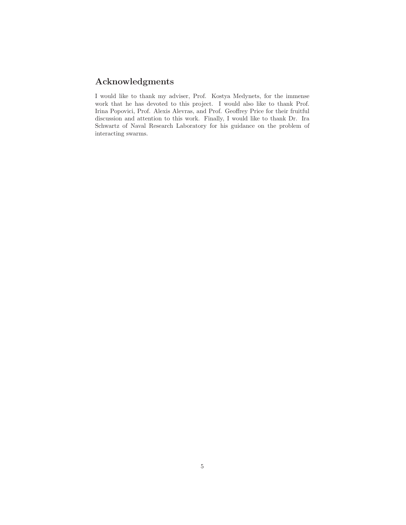# **Acknowledgments**

I would like to thank my adviser, Prof. Kostya Medynets, for the immense work that he has devoted to this project. I would also like to thank Prof. Irina Popovici, Prof. Alexis Alevras, and Prof. Geoffrey Price for their fruitful discussion and attention to this work. Finally, I would like to thank Dr. Ira Schwartz of Naval Research Laboratory for his guidance on the problem of interacting swarms.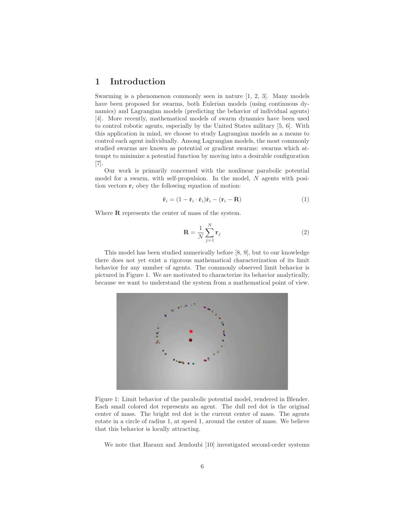### **1 Introduction**

Swarming is a phenomenon commonly seen in nature  $[1, 2, 3]$ . Many models have been proposed for swarms, both Eulerian models (using continuous dynamics) and Lagrangian models (predicting the behavior of individual agents) [4]. More recently, mathematical models of swarm dynamics have been used to control robotic agents, especially by the United States military [5, 6]. With this application in mind, we choose to study Lagrangian models as a means to control each agent individually. Among Lagrangian models, the most commonly studied swarms are known as potential or gradient swarms: swarms which attempt to minimize a potential function by moving into a desirable configuration [7].

Our work is primarily concerned with the nonlinear parabolic potential model for a swarm, with self-propulsion. In the model, N agents with position vectors  $\mathbf{r}_i$  obey the following equation of motion:

$$
\ddot{\mathbf{r}}_i = (1 - \dot{\mathbf{r}}_i \cdot \dot{\mathbf{r}}_i) \dot{\mathbf{r}}_i - (\mathbf{r}_i - \mathbf{R})
$$
\n(1)

Where **R** represents the center of mass of the system.

$$
\mathbf{R} = \frac{1}{N} \sum_{j=1}^{N} \mathbf{r}_j
$$
 (2)

This model has been studied numerically before [8, 9], but to our knowledge there does not yet exist a rigorous mathematical characterization of its limit behavior for any number of agents. The commonly observed limit behavior is pictured in Figure 1. We are motivated to characterize its behavior analytically, because we want to understand the system from a mathematical point of view.



Figure 1: Limit behavior of the parabolic potential model, rendered in Blender. Each small colored dot represents an agent. The dull red dot is the original center of mass. The bright red dot is the current center of mass. The agents rotate in a circle of radius 1, at speed 1, around the center of mass. We believe that this behavior is locally attracting.

We note that Haraux and Jendoubi [10] investigated second-order systems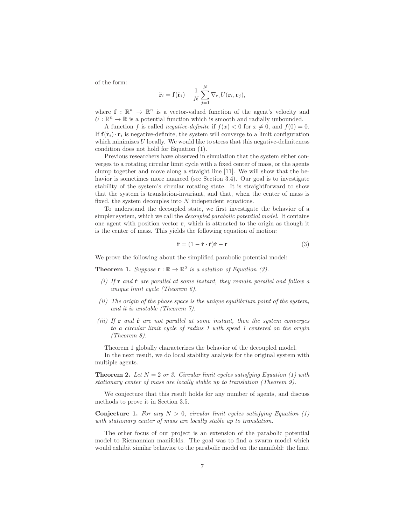of the form:

$$
\ddot{\mathbf{r}}_i = \mathbf{f}(\dot{\mathbf{r}}_i) - \frac{1}{N} \sum_{j=1}^N \nabla_{\mathbf{r}_i} U(\mathbf{r}_i, \mathbf{r}_j),
$$

where  $f : \mathbb{R}^n \to \mathbb{R}^n$  is a vector-valued function of the agent's velocity and  $U: \mathbb{R}^n \to \mathbb{R}$  is a potential function which is smooth and radially unbounded.

A function f is called *negative-definite* if  $f(x) < 0$  for  $x \neq 0$ , and  $f(0) = 0$ . If  $f(\mathbf{r}_i) \cdot \mathbf{r}_i$  is negative-definite, the system will converge to a limit configuration which minimizes  $U$  locally. We would like to stress that this negative-definiteness condition does not hold for Equation (1).

Previous researchers have observed in simulation that the system either converges to a rotating circular limit cycle with a fixed center of mass, or the agents clump together and move along a straight line [11]. We will show that the behavior is sometimes more nuanced (see Section 3.4). Our goal is to investigate stability of the system's circular rotating state. It is straightforward to show that the system is translation-invariant, and that, when the center of mass is fixed, the system decouples into N independent equations.

To understand the decoupled state, we first investigate the behavior of a simpler system, which we call the *decoupled parabolic potential model*. It contains one agent with position vector **r**, which is attracted to the origin as though it is the center of mass. This yields the following equation of motion:

$$
\ddot{\mathbf{r}} = (1 - \dot{\mathbf{r}} \cdot \dot{\mathbf{r}})\dot{\mathbf{r}} - \mathbf{r}
$$
 (3)

We prove the following about the simplified parabolic potential model:

**Theorem 1.** Suppose  $\mathbf{r} : \mathbb{R} \to \mathbb{R}^2$  is a solution of Equation (3).

- $(i)$  If **r** and **r**<sup> $i$ </sup> are parallel at some instant, they remain parallel and follow a unique limit cycle (Theorem 6).
- (ii) The origin of the phase space is the unique equilibrium point of the system, and it is unstable (Theorem 7).
- (iii) If  $\bf{r}$  and  $\dot{\bf{r}}$  are not parallel at some instant, then the system converges to a circular limit cycle of radius 1 with speed 1 centered on the origin (Theorem 8).

Theorem 1 globally characterizes the behavior of the decoupled model.

In the next result, we do local stability analysis for the original system with multiple agents.

**Theorem 2.** Let  $N = 2$  or 3. Circular limit cycles satisfying Equation (1) with stationary center of mass are locally stable up to translation (Theorem 9).

We conjecture that this result holds for any number of agents, and discuss methods to prove it in Section 3.5.

**Conjecture 1.** For any  $N > 0$ , circular limit cycles satisfying Equation (1) with stationary center of mass are locally stable up to translation.

The other focus of our project is an extension of the parabolic potential model to Riemannian manifolds. The goal was to find a swarm model which would exhibit similar behavior to the parabolic model on the manifold: the limit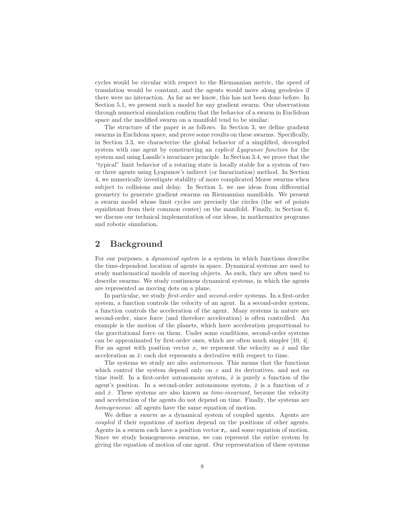cycles would be circular with respect to the Riemannian metric, the speed of translation would be constant, and the agents would move along geodesics if there were no interaction. As far as we know, this has not been done before. In Section 5.1, we present such a model for any gradient swarm. Our observations through numerical simulation confirm that the behavior of a swarm in Euclidean space and the modified swarm on a manifold tend to be similar.

The structure of the paper is as follows. In Section 3, we define gradient swarms in Euclidean space, and prove some results on these swarms. Specifically, in Section 3.3, we characterize the global behavior of a simplified, decoupled system with one agent by constructing an *explicit Lyapunov function* for the system and using Lasalle's invariance principle. In Section 3.4, we prove that the "typical" limit behavior of a rotating state is locally stable for a system of two or three agents using Lyapunov's indirect (or linearization) method. In Section 4, we numerically investigate stability of more complicated Morse swarms when subject to collisions and delay. In Section 5, we use ideas from differential geometry to generate gradient swarms on Riemannian manifolds. We present a swarm model whose limit cycles are precisely the circles (the set of points equidistant from their common center) on the manifold. Finally, in Section 6, we discuss our technical implementation of our ideas, in mathematics programs and robotic simulation.

## **2 Background**

For our purposes, a dynamical system is a system in which functions describe the time-dependent location of agents in space. Dynamical systems are used to study mathematical models of moving objects. As such, they are often used to describe swarms. We study continuous dynamical systems, in which the agents are represented as moving dots on a plane.

In particular, we study first-order and second-order systems. In a first-order system, a function controls the velocity of an agent. In a second-order system, a function controls the acceleration of the agent. Many systems in nature are second-order, since force (and therefore acceleration) is often controlled. An example is the motion of the planets, which have acceleration proportional to the gravitational force on them. Under some conditions, second-order systems can be approximated by first-order ones, which are often much simpler [10, 4]. For an agent with position vector x, we represent the velocity as  $\dot{x}$  and the acceleration as  $\ddot{x}$ ; each dot represents a derivative with respect to time.

The systems we study are also autonomous. This means that the functions which control the system depend only on  $x$  and its derivatives, and not on time itself. In a first-order autonomous system,  $\dot{x}$  is purely a function of the agent's position. In a second-order autonomous system,  $\ddot{x}$  is a function of x and  $\dot{x}$ . These systems are also known as *time-invariant*, because the velocity and acceleration of the agents do not depend on time. Finally, the systems are homogeneous: all agents have the same equation of motion.

We define a *swarm* as a dynamical system of coupled agents. Agents are coupled if their equations of motion depend on the positions of other agents. Agents in a swarm each have a position vector  $\mathbf{r}_i$ , and some equation of motion. Since we study homogeneous swarms, we can represent the entire system by giving the equation of motion of one agent. Our representation of these systems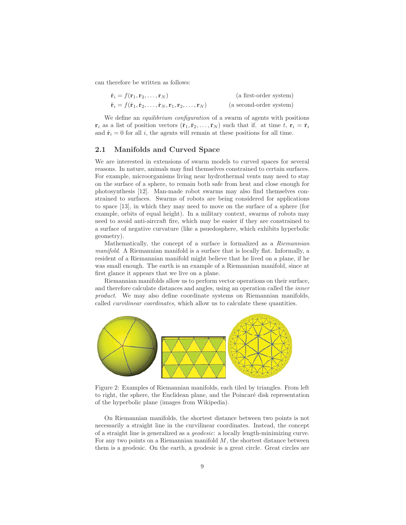can therefore be written as follows:

| $\dot{\mathbf{r}}_i = f(\mathbf{r}_1, \mathbf{r}_2, \dots, \mathbf{r}_N)$                                                                     | (a first-order system)  |
|-----------------------------------------------------------------------------------------------------------------------------------------------|-------------------------|
| $\ddot{\mathbf{r}}_i = f(\dot{\mathbf{r}}_1, \dot{\mathbf{r}}_2, \dots, \dot{\mathbf{r}}_N, \mathbf{r}_1, \mathbf{r}_2, \dots, \mathbf{r}_N)$ | (a second-order system) |

We define an *equilibrium configuration* of a swarm of agents with positions  $\mathbf{r}_i$  as a list of position vectors  $(\bar{\mathbf{r}}_1, \bar{\mathbf{r}}_2, \dots, \bar{\mathbf{r}}_N)$  such that if. at time t,  $\mathbf{r}_i = \bar{\mathbf{r}}_i$ and  $\dot{\mathbf{r}}_i = 0$  for all i, the agents will remain at these positions for all time.

#### **2.1 Manifolds and Curved Space**

We are interested in extensions of swarm models to curved spaces for several reasons. In nature, animals may find themselves constrained to certain surfaces. For example, microorganisms living near hydrothermal vents may need to stay on the surface of a sphere, to remain both safe from heat and close enough for photosynthesis [12]. Man-made robot swarms may also find themselves constrained to surfaces. Swarms of robots are being considered for applications to space [13], in which they may need to move on the surface of a sphere (for example, orbits of equal height). In a military context, swarms of robots may need to avoid anti-aircraft fire, which may be easier if they are constrained to a surface of negative curvature (like a psuedosphere, which exhibits hyperbolic geometry).

Mathematically, the concept of a surface is formalized as a Riemannian manifold. A Riemannian manifold is a surface that is locally flat. Informally, a resident of a Riemannian manifold might believe that he lived on a plane, if he was small enough. The earth is an example of a Riemannian manifold, since at first glance it appears that we live on a plane.

Riemannian manifolds allow us to perform vector operations on their surface, and therefore calculate distances and angles, using an operation called the inner product. We may also define coordinate systems on Riemannian manifolds, called curvilinear coordinates, which allow us to calculate these quantities.



Figure 2: Examples of Riemannian manifolds, each tiled by triangles. From left to right, the sphere, the Euclidean plane, and the Poincaré disk representation of the hyperbolic plane (images from Wikipedia).

On Riemannian manifolds, the shortest distance between two points is not necessarily a straight line in the curvilinear coordinates. Instead, the concept of a straight line is generalized as a geodesic: a locally length-minimizing curve. For any two points on a Riemannian manifold  $M$ , the shortest distance between them is a geodesic. On the earth, a geodesic is a great circle. Great circles are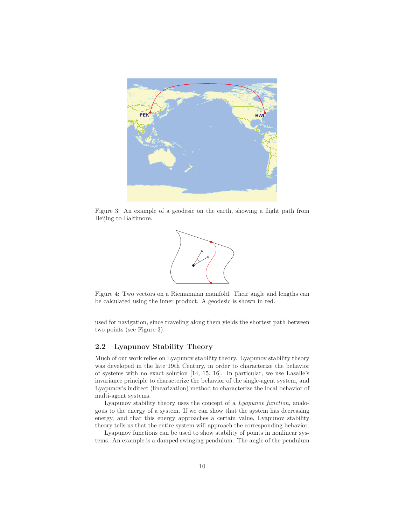

Figure 3: An example of a geodesic on the earth, showing a flight path from Beijing to Baltimore.



Figure 4: Two vectors on a Riemannian manifold. Their angle and lengths can be calculated using the inner product. A geodesic is shown in red.

used for navigation, since traveling along them yields the shortest path between two points (see Figure 3).

#### **2.2 Lyapunov Stability Theory**

Much of our work relies on Lyapunov stability theory. Lyapunov stability theory was developed in the late 19th Century, in order to characterize the behavior of systems with no exact solution [14, 15, 16]. In particular, we use Lasalle's invariance principle to characterize the behavior of the single-agent system, and Lyapunov's indirect (linearization) method to characterize the local behavior of multi-agent systems.

Lyapunov stability theory uses the concept of a Lyapunov function, analogous to the energy of a system. If we can show that the system has decreasing energy, and that this energy approaches a certain value, Lyapunov stability theory tells us that the entire system will approach the corresponding behavior.

Lyapunov functions can be used to show stability of points in nonlinear systems. An example is a damped swinging pendulum. The angle of the pendulum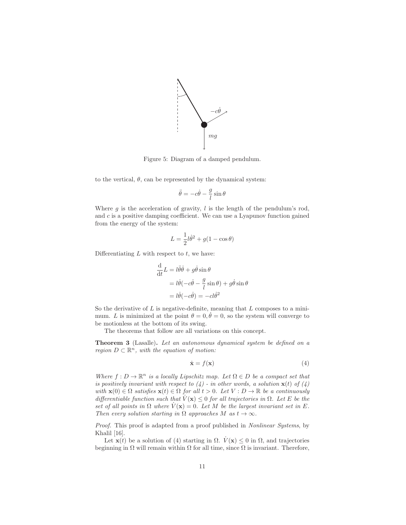

Figure 5: Diagram of a damped pendulum.

to the vertical,  $\theta$ , can be represented by the dynamical system:

$$
\ddot{\theta} = -c\dot{\theta} - \frac{g}{l}\sin\theta
$$

Where  $g$  is the acceleration of gravity,  $l$  is the length of the pendulum's rod, and  $c$  is a positive damping coefficient. We can use a Lyapunov function gained from the energy of the system:

$$
L = \frac{1}{2}l\dot{\theta}^2 + g(1 - \cos\theta)
$$

Differentiating  $L$  with respect to  $t$ , we have:

$$
\frac{d}{dt}L = l\ddot{\theta}\dot{\theta} + g\dot{\theta}\sin\theta
$$

$$
= l\dot{\theta}(-c\dot{\theta} - \frac{g}{l}\sin\theta) + g\dot{\theta}\sin\theta
$$

$$
= l\dot{\theta}(-c\dot{\theta}) = -cl\dot{\theta}^2
$$

So the derivative of  $L$  is negative-definite, meaning that  $L$  composes to a minimum. L is minimized at the point  $\theta = 0, \dot{\theta} = 0$ , so the system will converge to be motionless at the bottom of its swing.

The theorems that follow are all variations on this concept.

**Theorem 3** (Lasalle)**.** Let an autonomous dynamical system be defined on a region  $D \subset \mathbb{R}^n$ , with the equation of motion:

$$
\dot{\mathbf{x}} = f(\mathbf{x}) \tag{4}
$$

Where  $f: D \to \mathbb{R}^n$  is a locally Lipschitz map. Let  $\Omega \in D$  be a compact set that is positively invariant with respect to  $\left(4\right)$  - in other words, a solution **x**(t) of  $\left(4\right)$ with  $\mathbf{x}(0) \in \Omega$  satisfies  $\mathbf{x}(t) \in \Omega$  for all  $t > 0$ . Let  $V : D \to \mathbb{R}$  be a continuously differentiable function such that  $V(\mathbf{x}) \leq 0$  for all trajectories in  $\Omega$ . Let E be the set of all points in  $\Omega$  where  $\dot{V}(\mathbf{x})=0$ . Let M be the largest invariant set in E. Then every solution starting in  $\Omega$  approaches M as  $t \to \infty$ .

Proof. This proof is adapted from a proof published in Nonlinear Systems, by Khalil [16].

Let **x**(t) be a solution of (4) starting in  $\Omega$ .  $\dot{V}(\mathbf{x}) \leq 0$  in  $\Omega$ , and trajectories beginning in  $\Omega$  will remain within  $\Omega$  for all time, since  $\Omega$  is invariant. Therefore,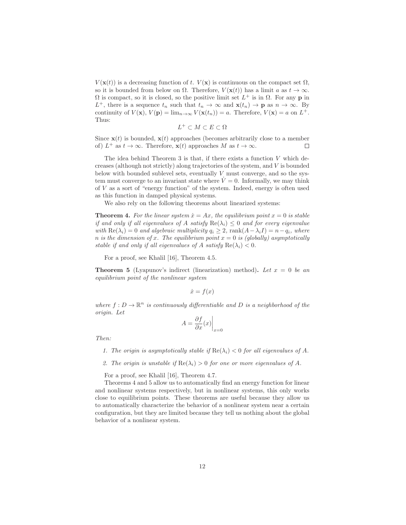$V(\mathbf{x}(t))$  is a decreasing function of t.  $V(\mathbf{x})$  is continuous on the compact set  $\Omega$ , so it is bounded from below on  $\Omega$ . Therefore,  $V(\mathbf{x}(t))$  has a limit a as  $t \to \infty$ .  $\Omega$  is compact, so it is closed, so the positive limit set  $L^+$  is in  $\Omega$ . For any **p** in  $L^+$ , there is a sequence  $t_n$  such that  $t_n \to \infty$  and  $\mathbf{x}(t_n) \to \mathbf{p}$  as  $n \to \infty$ . By continuity of  $V(\mathbf{x})$ ,  $V(\mathbf{p}) = \lim_{n \to \infty} V(\mathbf{x}(t_n)) = a$ . Therefore,  $V(\mathbf{x}) = a$  on  $L^+$ . Thus:

$$
L^+ \subset M \subset E \subset \Omega
$$

Since  $\mathbf{x}(t)$  is bounded,  $\mathbf{x}(t)$  approaches (becomes arbitrarily close to a member of)  $L^+$  as  $t \to \infty$ . Therefore,  $\mathbf{x}(t)$  approaches M as  $t \to \infty$ . П

The idea behind Theorem 3 is that, if there exists a function  $V$  which decreases (although not strictly) along trajectories of the system, and V is bounded below with bounded sublevel sets, eventually  $V$  must converge, and so the system must converge to an invariant state where  $\dot{V}=0$ . Informally, we may think of  $V$  as a sort of "energy function" of the system. Indeed, energy is often used as this function in damped physical systems.

We also rely on the following theorems about linearized systems:

**Theorem 4.** For the linear system  $\dot{x} = Ax$ , the equilibrium point  $x = 0$  is stable if and only if all eigenvalues of A satisfy  $\text{Re}(\lambda_i) \leq 0$  and for every eigenvalue with  $\text{Re}(\lambda_i)=0$  and algebraic multiplicity  $q_i \geq 2$ ,  $\text{rank}(A-\lambda_i I) = n-q_i$ , where n is the dimension of x. The equilibrium point  $x = 0$  is (globally) asymptotically stable if and only if all eigenvalues of A satisfy  $\text{Re}(\lambda_i) < 0$ .

For a proof, see Khalil [16], Theorem 4.5.

**Theorem 5** (Lyapunov's indirect (linearization) method). Let  $x = 0$  be an equilibrium point of the nonlinear system

$$
\dot{x} = f(x)
$$

where  $f: D \to \mathbb{R}^n$  is continuously differentiable and D is a neighborhood of the origin. Let

$$
A = \frac{\partial f}{\partial x}(x)\Big|_{x=0}
$$

Then:

- 1. The origin is asymptotically stable if  $\text{Re}(\lambda_i) < 0$  for all eigenvalues of A.
- 2. The origin is unstable if  $\text{Re}(\lambda_i) > 0$  for one or more eigenvalues of A.

For a proof, see Khalil [16], Theorem 4.7.

Theorems 4 and 5 allow us to automatically find an energy function for linear and nonlinear systems respectively, but in nonlinear systems, this only works close to equilibrium points. These theorems are useful because they allow us to automatically characterize the behavior of a nonlinear system near a certain configuration, but they are limited because they tell us nothing about the global behavior of a nonlinear system.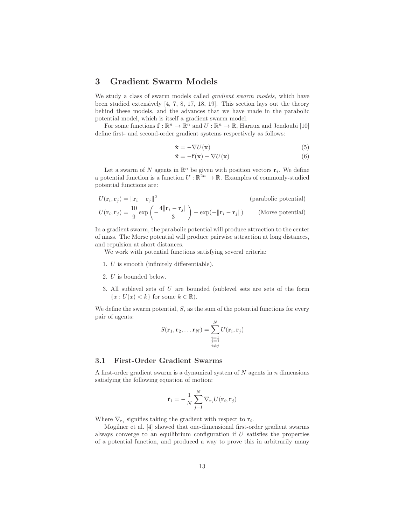## **3 Gradient Swarm Models**

We study a class of swarm models called *gradient swarm models*, which have been studied extensively [4, 7, 8, 17, 18, 19]. This section lays out the theory behind these models, and the advances that we have made in the parabolic potential model, which is itself a gradient swarm model.

For some functions  $\mathbf{f} : \mathbb{R}^n \to \mathbb{R}^n$  and  $U : \mathbb{R}^n \to \mathbb{R}$ , Haraux and Jendoubi [10] define first- and second-order gradient systems respectively as follows:

$$
\dot{\mathbf{x}} = -\nabla U(\mathbf{x})\tag{5}
$$

$$
\ddot{\mathbf{x}} = -\mathbf{f}(\mathbf{x}) - \nabla U(\mathbf{x})\tag{6}
$$

Let a swarm of N agents in  $\mathbb{R}^n$  be given with position vectors  $\mathbf{r}_i$ . We define a potential function is a function  $U : \mathbb{R}^{2n} \to \mathbb{R}$ . Examples of commonly-studied potential functions are:

$$
U(\mathbf{r}_i, \mathbf{r}_j) = ||\mathbf{r}_i - \mathbf{r}_j||^2
$$
 (parabolic potential)  

$$
U(\mathbf{r}_i, \mathbf{r}_j) = \frac{10}{9} \exp\left(-\frac{4||\mathbf{r}_i - \mathbf{r}_j||}{3}\right) - \exp(-||\mathbf{r}_i - \mathbf{r}_j||)
$$
 (Morse potential)

In a gradient swarm, the parabolic potential will produce attraction to the center of mass. The Morse potential will produce pairwise attraction at long distances, and repulsion at short distances.

We work with potential functions satisfying several criteria:

- 1. U is smooth (infinitely differentiable).
- 2. U is bounded below.
- 3. All sublevel sets of U are bounded (sublevel sets are sets of the form  ${x: U(x) < k}$  for some  $k \in \mathbb{R}$ .

We define the swarm potential,  $S$ , as the sum of the potential functions for every pair of agents:

$$
S(\mathbf{r}_1, \mathbf{r}_2, \dots \mathbf{r}_N) = \sum_{\substack{i=1 \ i \neq j}}^N U(\mathbf{r}_i, \mathbf{r}_j)
$$

#### **3.1 First-Order Gradient Swarms**

A first-order gradient swarm is a dynamical system of  $N$  agents in  $n$  dimensions satisfying the following equation of motion:

$$
\dot{\mathbf{r}}_i = -\frac{1}{N} \sum_{j=1}^N \nabla_{\mathbf{r}_i} U(\mathbf{r}_i, \mathbf{r}_j)
$$

Where  $\nabla_{\mathbf{r}_i}$  signifies taking the gradient with respect to  $\mathbf{r}_i$ .

Mogilner et al. [4] showed that one-dimensional first-order gradient swarms always converge to an equilibrium configuration if  $U$  satisfies the properties of a potential function, and produced a way to prove this in arbitrarily many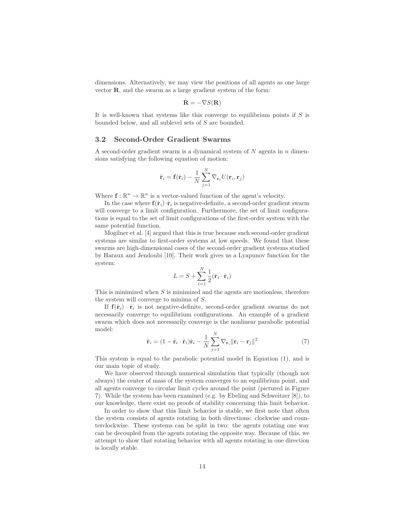dimensions. Alternatively, we may view the positions of all agents as one large vector **R**, and the swarm as a large gradient system of the form:

$$
\dot{\mathbf{R}} = -\nabla S(\mathbf{R})
$$

It is well-known that systems like this converge to equilibrium points if  $S$  is bounded below, and all sublevel sets of S are bounded.

#### **3.2 Second-Order Gradient Swarms**

A second-order gradient swarm is a dynamical system of  $N$  agents in  $n$  dimensions satisfying the following equation of motion:

$$
\ddot{\mathbf{r}}_i = \mathbf{f}(\dot{\mathbf{r}}_i) - \frac{1}{N} \sum_{j=1}^N \nabla_{\mathbf{r}_i} U(\mathbf{r}_i, \mathbf{r}_j)
$$

Where  $\mathbf{f} : \mathbb{R}^n \to \mathbb{R}^n$  is a vector-valued function of the agent's velocity.

In the case where  $f(\dot{\mathbf{r}}_i)\cdot\dot{\mathbf{r}}_i$  is negative-definite, a second-order gradient swarm will converge to a limit configuration. Furthermore, the set of limit configurations is equal to the set of limit configurations of the first-order system with the same potential function.

Mogilner et al. [4] argued that this is true because such second-order gradient systems are similar to first-order systems at low speeds. We found that these swarms are high-dimensional cases of the second-order gradient systems studied by Haraux and Jendoubi [10]. Their work gives us a Lyapunov function for the system:

$$
L = S + \sum_{i=1}^{N} \frac{1}{2} (\dot{\mathbf{r}}_i \cdot \dot{\mathbf{r}}_i)
$$

This is minimized when  $S$  is minimized and the agents are motionless, therefore the system will converge to minima of S.

If  $f(\dot{r}_i) \cdot \dot{r}_i$  is not negative-definite, second-order gradient swarms do not necessarily converge to equilibrium configurations. An example of a gradient swarm which does not necessarily converge is the nonlinear parabolic potential model:

$$
\ddot{\mathbf{r}}_i = (1 - \dot{\mathbf{r}}_i \cdot \dot{\mathbf{r}}_i) \dot{\mathbf{r}}_i - \frac{1}{N} \sum_{j=1}^N \nabla_{\mathbf{r}_i} ||\mathbf{r}_i - \mathbf{r}_j||^2
$$
\n(7)

This system is equal to the parabolic potential model in Equation (1), and is our main topic of study.

We have observed through numerical simulation that typically (though not always) the center of mass of the system converges to an equilibrium point, and all agents converge to circular limit cycles around the point (pictured in Figure 7). While the system has been examined (e.g. by Ebeling and Schweitzer [8]), to our knowledge, there exist no proofs of stability concerning this limit behavior.

In order to show that this limit behavior is stable, we first note that often the system consists of agents rotating in both directions: clockwise and counterclockwise. These systems can be split in two: the agents rotating one way can be decoupled from the agents rotating the opposite way. Because of this, we attempt to show that rotating behavior with all agents rotating in one direction is locally stable.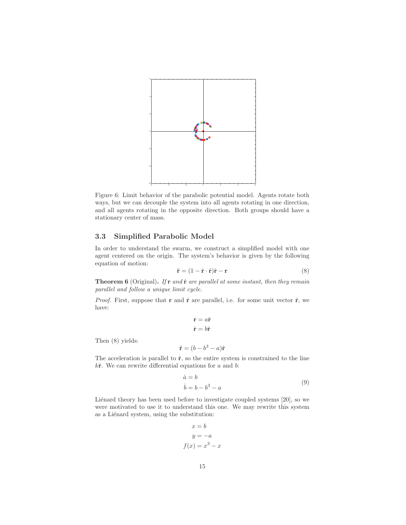

Figure 6: Limit behavior of the parabolic potential model. Agents rotate both ways, but we can decouple the system into all agents rotating in one direction, and all agents rotating in the opposite direction. Both groups should have a stationary center of mass.

#### **3.3 Simplified Parabolic Model**

Then (8) yields:

In order to understand the swarm, we construct a simplified model with one agent centered on the origin. The system's behavior is given by the following equation of motion:

$$
\ddot{\mathbf{r}} = (1 - \dot{\mathbf{r}} \cdot \dot{\mathbf{r}})\dot{\mathbf{r}} - \mathbf{r}
$$
 (8)

**Theorem 6** (Original). If **r** and **r**<sup>i</sup> are parallel at some instant, then they remain parallel and follow a unique limit cycle.

*Proof.* First, suppose that **r** and **r**<sup> $i$ </sup> are parallel, i.e. for some unit vector  $\hat{\mathbf{r}}$ , we have:

$$
\mathbf{r} = a\hat{\mathbf{r}}
$$

$$
\dot{\mathbf{r}} = b\hat{\mathbf{r}}
$$

$$
\ddot{\mathbf{r}} = (b - b^3 - a)\hat{\mathbf{r}}
$$

The acceleration is parallel to  $\hat{\mathbf{r}}$ , so the entire system is constrained to the line  $k\hat{\mathbf{r}}$ . We can rewrite differential equations for a and b:

$$
\begin{aligned}\n\dot{a} &= b \\
\dot{b} &= b - b^3 - a\n\end{aligned} \tag{9}
$$

Liénard theory has been used before to investigate coupled systems [20], so we were motivated to use it to understand this one. We may rewrite this system as a Liénard system, using the substitution:

$$
x = b
$$

$$
y = -a
$$

$$
f(x) = x3 - x
$$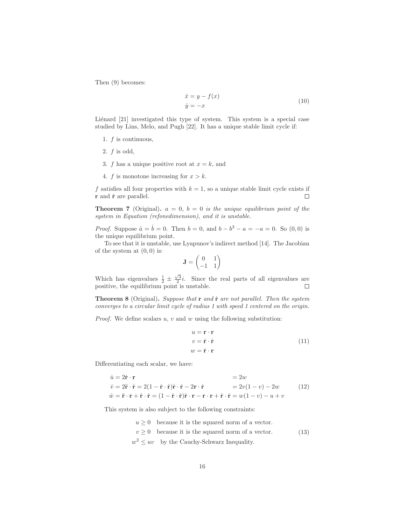Then (9) becomes:

$$
\begin{aligned}\n\dot{x} &= y - f(x) \\
\dot{y} &= -x\n\end{aligned} \tag{10}
$$

Liénard [21] investigated this type of system. This system is a special case studied by Lins, Melo, and Pugh [22]. It has a unique stable limit cycle if:

- 1.  $f$  is continuous,
- 2.  $f$  is odd,
- 3. f has a unique positive root at  $x = k$ , and
- 4. f is monotone increasing for  $x > k$ .

f satisfies all four properties with  $k = 1$ , so a unique stable limit cycle exists if **r** and **r**˙ are parallel.  $\Box$ 

**Theorem 7** (Original).  $a = 0$ ,  $b = 0$  is the unique equilibrium point of the system in Equation (refonedimension), and it is unstable.

*Proof.* Suppose  $\dot{a} = \dot{b} = 0$ . Then  $b = 0$ , and  $b - b^3 - a = -a = 0$ . So  $(0, 0)$  is the unique equilibrium point.

To see that it is unstable, use Lyapunov's indirect method [14]. The Jacobian of the system at  $(0, 0)$  is:

$$
\mathbf{J} = \begin{pmatrix} 0 & 1 \\ -1 & 1 \end{pmatrix}
$$

Which has eigenvalues  $\frac{1}{2} \pm \frac{\sqrt{3}}{2}i$ . Since the real parts of all eigenvalues are positive, the equilibrium point is unstable.

**Theorem 8** (Original)**.** Suppose that **r** and **r**˙ are not parallel. Then the system converges to a circular limit cycle of radius 1 with speed 1 centered on the origin.

*Proof.* We define scalars  $u, v$  and  $w$  using the following substitution:

$$
u = \mathbf{r} \cdot \mathbf{r}
$$
  
\n
$$
v = \dot{\mathbf{r}} \cdot \dot{\mathbf{r}}
$$
  
\n
$$
w = \dot{\mathbf{r}} \cdot \mathbf{r}
$$
  
\n(11)

Differentiating each scalar, we have:

$$
\dot{u} = 2\dot{\mathbf{r}} \cdot \mathbf{r} = 2w
$$
  
\n
$$
\dot{v} = 2\ddot{\mathbf{r}} \cdot \dot{\mathbf{r}} = 2(1 - \dot{\mathbf{r}} \cdot \dot{\mathbf{r}})\dot{\mathbf{r}} \cdot \dot{\mathbf{r}} - 2\mathbf{r} \cdot \dot{\mathbf{r}} = 2v(1 - v) - 2w
$$
 (12)  
\n
$$
\dot{w} = \ddot{\mathbf{r}} \cdot \mathbf{r} + \dot{\mathbf{r}} \cdot \dot{\mathbf{r}} = (1 - \dot{\mathbf{r}} \cdot \dot{\mathbf{r}})\dot{\mathbf{r}} \cdot \mathbf{r} - \mathbf{r} \cdot \mathbf{r} + \dot{\mathbf{r}} \cdot \dot{\mathbf{r}} = w(1 - v) - u + v
$$

This system is also subject to the following constraints:

 $u \geq 0$  because it is the squared norm of a vector.  $v \geq 0$  because it is the squared norm of a vector.  $w^2 \leq uv$  by the Cauchy-Schwarz Inequality. (13)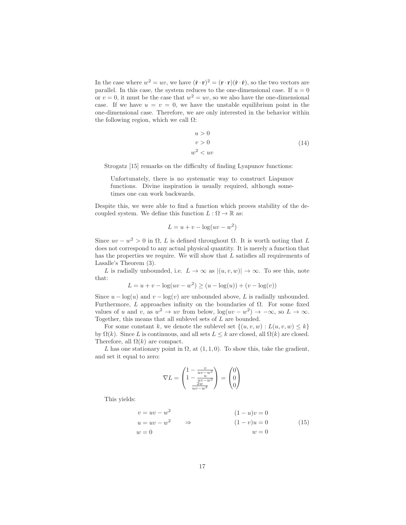In the case where  $w^2 = uv$ , we have  $(\dot{\mathbf{r}} \cdot \mathbf{r})^2 = (\mathbf{r} \cdot \mathbf{r})(\dot{\mathbf{r}} \cdot \dot{\mathbf{r}})$ , so the two vectors are parallel. In this case, the system reduces to the one-dimensional case. If  $u = 0$ or  $v = 0$ , it must be the case that  $w^2 = uv$ , so we also have the one-dimensional case. If we have  $u = v = 0$ , we have the unstable equilibrium point in the one-dimensional case. Therefore, we are only interested in the behavior within the following region, which we call  $\Omega$ :

$$
u > 0
$$
  
\n
$$
v > 0
$$
  
\n
$$
w^2 < uv
$$
\n(14)

Strogatz [15] remarks on the difficulty of finding Lyapunov functions:

Unfortunately, there is no systematic way to construct Liapunov functions. Divine inspiration is usually required, although sometimes one can work backwards.

Despite this, we were able to find a function which proves stability of the decoupled system. We define this function  $L : \Omega \to \mathbb{R}$  as:

$$
L = u + v - \log(uv - w^2)
$$

Since  $uv - w^2 > 0$  in  $\Omega$ , L is defined throughout  $\Omega$ . It is worth noting that L does not correspond to any actual physical quantity. It is merely a function that has the properties we require. We will show that  $L$  satisfies all requirements of Lasalle's Theorem (3).

L is radially unbounded, i.e.  $L \to \infty$  as  $|(u, v, w)| \to \infty$ . To see this, note that:

$$
L = u + v - \log(uv - w^{2}) \ge (u - \log(u)) + (v - \log(v))
$$

Since  $u - \log(u)$  and  $v - \log(v)$  are unbounded above, L is radially unbounded. Furthermore, L approaches infinity on the boundaries of  $\Omega$ . For some fixed values of u and v, as  $w^2 \to uv$  from below,  $\log(uv - w^2) \to -\infty$ , so  $L \to \infty$ . Together, this means that all sublevel sets of  ${\cal L}$  are bounded.

For some constant k, we denote the sublevel set  $\{(u, v, w) : L(u, v, w) \leq k\}$ by  $\Omega(k)$ . Since L is continuous, and all sets  $L \leq k$  are closed, all  $\Omega(k)$  are closed. Therefore, all  $\Omega(k)$  are compact.

L has one stationary point in  $\Omega$ , at  $(1, 1, 0)$ . To show this, take the gradient, and set it equal to zero:

$$
\nabla L = \begin{pmatrix} 1 - \frac{v}{uv - w^2} \\ 1 - \frac{uv}{uv - w^2} \\ \frac{2w}{uv - w^2} \end{pmatrix} = \begin{pmatrix} 0 \\ 0 \\ 0 \end{pmatrix}
$$

This yields:

$$
v = uv - w2
$$
  
\n
$$
u = uv - w2
$$
  
\n
$$
w = 0
$$
  
\n
$$
(1 - u)v = 0
$$
  
\n
$$
(1 - v)u = 0
$$
  
\n
$$
w = 0
$$
  
\n(15)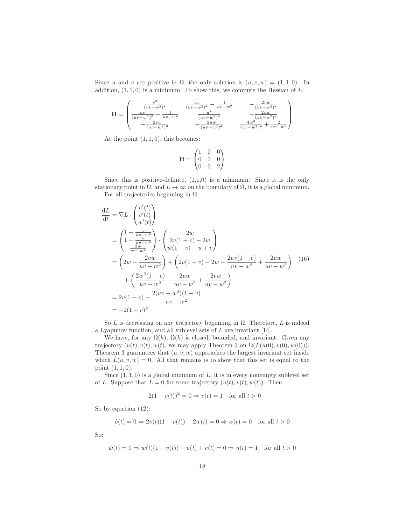Since u and v are positive in  $\Omega$ , the only solution is  $(u, v, w) = (1, 1, 0)$ . In addition,  $(1, 1, 0)$  is a minimum. To show this, we compute the Hessian of L:

$$
\mathbf{H} = \begin{pmatrix} \frac{v^2}{(uv - w^2)^2} & \frac{uv}{(uv - w^2)^2} - \frac{1}{uv - w^2} & -\frac{2vw}{(uv - w^2)^2} \\ \frac{uv}{(uv - w^2)^2} - \frac{1}{uv - w^2} & \frac{u^2}{(uv - w^2)^2} & -\frac{2uw}{(uv - w^2)^2} \\ -\frac{2vw}{(uv - w^2)^2} & -\frac{2uw}{(uv - w^2)^2} & \frac{4w^2}{(uv - w^2)^2} + \frac{2}{uv - w^2} \end{pmatrix}
$$

At the point  $(1, 1, 0)$ , this becomes:

$$
\mathbf{H} = \begin{pmatrix} 1 & 0 & 0 \\ 0 & 1 & 0 \\ 0 & 0 & 2 \end{pmatrix}
$$

Since this is positive-definite,  $(1,1,0)$  is a minimum. Since it is the only stationary point in  $\Omega$ , and  $L \to \infty$  on the boundary of  $\Omega$ , it is a global minimum. For all trajectories beginning in  $\Omega$ :

$$
\frac{dL}{dt} = \nabla L \cdot \begin{pmatrix} u'(t) \\ v'(t) \\ w'(t) \end{pmatrix}
$$
\n
$$
= \begin{pmatrix} 1 - \frac{v}{uv - w^2} \\ 1 - \frac{v}{uv - w^2} \\ \frac{2w}{uv - w^2} \end{pmatrix} \cdot \begin{pmatrix} 2w \\ 2v(1 - v) - 2w \\ w(1 - v) - u + v \end{pmatrix}
$$
\n
$$
= \left( 2w - \frac{2vw}{uv - w^2} \right) + \left( 2v(1 - v) - 2w - \frac{2uv(1 - v)}{uv - w^2} + \frac{2uw}{uv - w^2} \right) \quad (16)
$$
\n
$$
+ \left( \frac{2w^2(1 - v)}{uv - w^2} - \frac{2uw}{uv - w^2} + \frac{2vw}{uv - w^2} \right)
$$
\n
$$
= 2v(1 - v) - \frac{2(uv - w^2)(1 - v)}{uv - w^2}
$$
\n
$$
= -2(1 - v)^2
$$

So  $L$  is decreasing on any trajectory beginning in  $\Omega$ . Therefore,  $L$  is indeed a Lyapunov function, and all sublevel sets of L are invariant [14].

We have, for any  $\Omega(k)$ ,  $\Omega(k)$  is closed, bounded, and invariant. Given any trajectory  $(u(t), v(t), w(t))$ , we may apply Theorem 3 on  $\Omega(L(u(0), v(0), w(0)))$ . Theorem 3 guarantees that  $(u, v, w)$  approaches the largest invariant set inside which  $\dot{L}(u, v, w) = 0$ . All that remains is to show that this set is equal to the point (1, 1, 0).

Since  $(1, 1, 0)$  is a global minimum of  $L$ , it is in every nonempty sublevel set of L. Suppose that  $\dot{L} = 0$  for some trajectory  $(u(t), v(t), w(t))$ . Then:

$$
-2(1 - v(t))^2 = 0 \Rightarrow v(t) = 1 \text{ for all } t > 0
$$

So by equation (12):

$$
\dot{v}(t) = 0 \Rightarrow 2v(t)(1 - v(t)) - 2w(t) = 0 \Rightarrow w(t) = 0
$$
 for all  $t > 0$ 

So:

$$
\dot{w}(t) = 0 \Rightarrow w(t)(1 - v(t)) - u(t) + v(t) = 0 \Rightarrow u(t) = 1 \text{ for all } t > 0
$$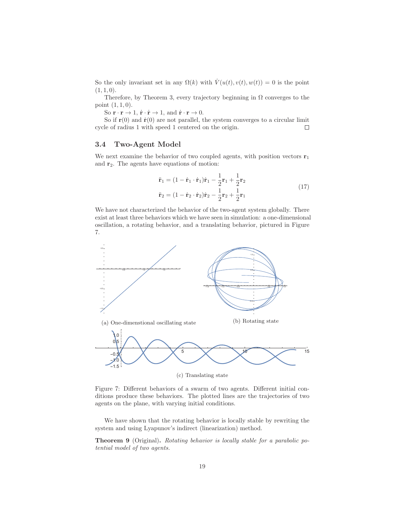So the only invariant set in any  $\Omega(k)$  with  $V(u(t), v(t), w(t)) = 0$  is the point  $(1, 1, 0).$ 

Therefore, by Theorem 3, every trajectory beginning in  $\Omega$  converges to the point (1, 1, 0).

So  $\mathbf{r} \cdot \mathbf{r} \to 1$ ,  $\dot{\mathbf{r}} \cdot \dot{\mathbf{r}} \to 1$ , and  $\dot{\mathbf{r}} \cdot \mathbf{r} \to 0$ .

So if  $r(0)$  and  $\dot{r}(0)$  are not parallel, the system converges to a circular limit cycle of radius 1 with speed 1 centered on the origin.  $\Box$ 

#### **3.4 Two-Agent Model**

We next examine the behavior of two coupled agents, with position vectors  $\mathbf{r}_1$ and **r**2. The agents have equations of motion:

$$
\ddot{\mathbf{r}}_1 = (1 - \dot{\mathbf{r}}_1 \cdot \dot{\mathbf{r}}_1)\dot{\mathbf{r}}_1 - \frac{1}{2}\mathbf{r}_1 + \frac{1}{2}\mathbf{r}_2
$$
  
\n
$$
\ddot{\mathbf{r}}_2 = (1 - \dot{\mathbf{r}}_2 \cdot \dot{\mathbf{r}}_2)\dot{\mathbf{r}}_2 - \frac{1}{2}\mathbf{r}_2 + \frac{1}{2}\mathbf{r}_1
$$
\n(17)

We have not characterized the behavior of the two-agent system globally. There exist at least three behaviors which we have seen in simulation: a one-dimensional oscillation, a rotating behavior, and a translating behavior, pictured in Figure 7.



Figure 7: Different behaviors of a swarm of two agents. Different initial conditions produce these behaviors. The plotted lines are the trajectories of two agents on the plane, with varying initial conditions.

We have shown that the rotating behavior is locally stable by rewriting the system and using Lyapunov's indirect (linearization) method.

**Theorem 9** (Original)**.** Rotating behavior is locally stable for a parabolic potential model of two agents.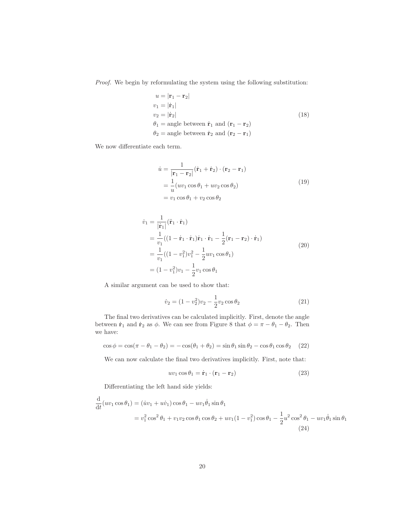Proof. We begin by reformulating the system using the following substitution:

$$
u = |\mathbf{r}_1 - \mathbf{r}_2|
$$
  
\n
$$
v_1 = |\dot{\mathbf{r}}_1|
$$
  
\n
$$
v_2 = |\dot{\mathbf{r}}_2|
$$
  
\n
$$
\theta_1 = \text{angle between } \dot{\mathbf{r}}_1 \text{ and } (\mathbf{r}_1 - \mathbf{r}_2)
$$
  
\n
$$
\theta_2 = \text{angle between } \dot{\mathbf{r}}_2 \text{ and } (\mathbf{r}_2 - \mathbf{r}_1)
$$
\n(18)

We now differentiate each term.

$$
\begin{aligned}\n\dot{u} &= \frac{1}{|\mathbf{r}_1 - \mathbf{r}_2|} (\dot{\mathbf{r}}_1 + \dot{\mathbf{r}}_2) \cdot (\mathbf{r}_2 - \mathbf{r}_1) \\
&= \frac{1}{u} (uv_1 \cos \theta_1 + uv_2 \cos \theta_2) \\
&= v_1 \cos \theta_1 + v_2 \cos \theta_2\n\end{aligned} \tag{19}
$$

$$
\dot{v}_1 = \frac{1}{|\dot{\mathbf{r}}_1|} (\ddot{\mathbf{r}}_1 \cdot \dot{\mathbf{r}}_1)
$$
  
\n
$$
= \frac{1}{v_1} ((1 - \dot{\mathbf{r}}_1 \cdot \dot{\mathbf{r}}_1) \dot{\mathbf{r}}_1 \cdot \dot{\mathbf{r}}_1 - \frac{1}{2} (\mathbf{r}_1 - \mathbf{r}_2) \cdot \dot{\mathbf{r}}_1)
$$
  
\n
$$
= \frac{1}{v_1} ((1 - v_1^2) v_1^2 - \frac{1}{2} u v_1 \cos \theta_1)
$$
  
\n
$$
= (1 - v_1^2) v_1 - \frac{1}{2} v_1 \cos \theta_1
$$
\n(20)

A similar argument can be used to show that:

$$
\dot{v}_2 = (1 - v_2^2)v_2 - \frac{1}{2}v_2\cos\theta_2\tag{21}
$$

The final two derivatives can be calculated implicitly. First, denote the angle between  $\dot{\mathbf{r}}_1$  and  $\dot{\mathbf{r}}_2$  as  $\phi$ . We can see from Figure 8 that  $\phi = \pi - \theta_1 - \theta_2$ . Then we have:

$$
\cos \phi = \cos(\pi - \theta_1 - \theta_2) = -\cos(\theta_1 + \theta_2) = \sin \theta_1 \sin \theta_2 - \cos \theta_1 \cos \theta_2 \quad (22)
$$

We can now calculate the final two derivatives implicitly. First, note that:

$$
uv_1 \cos \theta_1 = \dot{\mathbf{r}}_1 \cdot (\mathbf{r}_1 - \mathbf{r}_2) \tag{23}
$$

Differentiating the left hand side yields:

$$
\frac{d}{dt}(uv_1 \cos \theta_1) = (iv_1 + uv_1) \cos \theta_1 - uv_1 \dot{\theta}_1 \sin \theta_1 \n= v_1^2 \cos^2 \theta_1 + v_1 v_2 \cos \theta_1 \cos \theta_2 + uv_1 (1 - v_1^2) \cos \theta_1 - \frac{1}{2} u^2 \cos^2 \theta_1 - uv_1 \dot{\theta}_1 \sin \theta_1
$$
\n(24)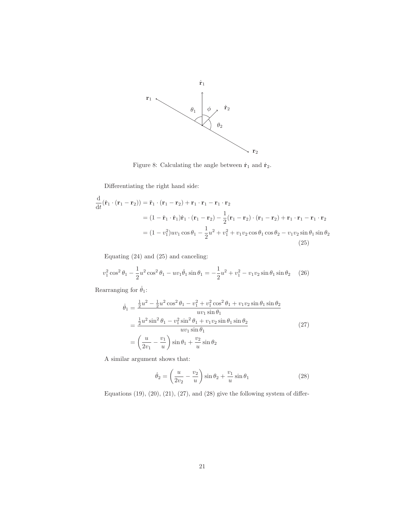

Figure 8: Calculating the angle between  $\dot{\mathbf{r}}_1$  and  $\dot{\mathbf{r}}_2.$ 

Differentiating the right hand side:

$$
\frac{\mathrm{d}}{\mathrm{d}t}(\dot{\mathbf{r}}_1 \cdot (\mathbf{r}_1 - \mathbf{r}_2)) = \ddot{\mathbf{r}}_1 \cdot (\mathbf{r}_1 - \mathbf{r}_2) + \mathbf{r}_1 \cdot \mathbf{r}_1 - \mathbf{r}_1 \cdot \mathbf{r}_2
$$
\n
$$
= (1 - \dot{\mathbf{r}}_1 \cdot \dot{\mathbf{r}}_1)\dot{\mathbf{r}}_1 \cdot (\mathbf{r}_1 - \mathbf{r}_2) - \frac{1}{2}(\mathbf{r}_1 - \mathbf{r}_2) \cdot (\mathbf{r}_1 - \mathbf{r}_2) + \mathbf{r}_1 \cdot \mathbf{r}_1 - \mathbf{r}_1 \cdot \mathbf{r}_2
$$
\n
$$
= (1 - v_1^2)uv_1 \cos \theta_1 - \frac{1}{2}u^2 + v_1^2 + v_1v_2 \cos \theta_1 \cos \theta_2 - v_1v_2 \sin \theta_1 \sin \theta_2
$$
\n(25)

Equating (24) and (25) and canceling:

$$
v_1^2 \cos^2 \theta_1 - \frac{1}{2} u^2 \cos^2 \theta_1 - uv_1 \dot{\theta}_1 \sin \theta_1 = -\frac{1}{2} u^2 + v_1^2 - v_1 v_2 \sin \theta_1 \sin \theta_2 \quad (26)
$$

Rearranging for  $\dot{\theta}_1$ :

$$
\dot{\theta}_{1} = \frac{\frac{1}{2}u^{2} - \frac{1}{2}u^{2}\cos^{2}\theta_{1} - v_{1}^{2} + v_{1}^{2}\cos^{2}\theta_{1} + v_{1}v_{2}\sin\theta_{1}\sin\theta_{2}}{uv_{1}\sin\theta_{1}}
$$
\n
$$
= \frac{\frac{1}{2}u^{2}\sin^{2}\theta_{1} - v_{1}^{2}\sin^{2}\theta_{1} + v_{1}v_{2}\sin\theta_{1}\sin\theta_{2}}{uv_{1}\sin\theta_{1}}
$$
\n
$$
= \left(\frac{u}{2v_{1}} - \frac{v_{1}}{u}\right)\sin\theta_{1} + \frac{v_{2}}{u}\sin\theta_{2}
$$
\n(27)

A similar argument shows that:

$$
\dot{\theta}_2 = \left(\frac{u}{2v_2} - \frac{v_2}{u}\right) \sin \theta_2 + \frac{v_1}{u} \sin \theta_1
$$
 (28)

Equations  $(19)$ ,  $(20)$ ,  $(21)$ ,  $(27)$ , and  $(28)$  give the following system of differ-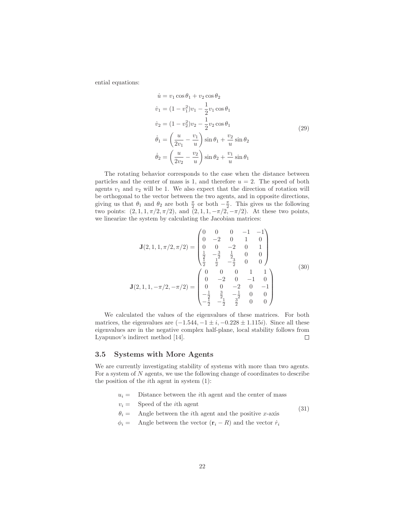ential equations:

$$
\dot{u} = v_1 \cos \theta_1 + v_2 \cos \theta_2 \n\dot{v}_1 = (1 - v_1^2)v_1 - \frac{1}{2}v_1 \cos \theta_1 \n\dot{v}_2 = (1 - v_2^2)v_2 - \frac{1}{2}v_2 \cos \theta_1 \n\dot{\theta}_1 = \left(\frac{u}{2v_1} - \frac{v_1}{u}\right) \sin \theta_1 + \frac{v_2}{u} \sin \theta_2 \n\dot{\theta}_2 = \left(\frac{u}{2v_2} - \frac{v_2}{u}\right) \sin \theta_2 + \frac{v_1}{u} \sin \theta_1
$$
\n(29)

The rotating behavior corresponds to the case when the distance between particles and the center of mass is 1, and therefore  $u = 2$ . The speed of both agents  $v_1$  and  $v_2$  will be 1. We also expect that the direction of rotation will be orthogonal to the vector between the two agents, and in opposite directions, giving us that  $\theta_1$  and  $\theta_2$  are both  $\frac{\pi}{2}$  or both  $-\frac{\pi}{2}$ . This gives us the following two points:  $(2, 1, 1, \pi/2, \pi/2)$ , and  $(2, 1, 1, -\pi/2, -\pi/2)$ . At these two points, we linearize the system by calculating the Jacobian matrices:

$$
\mathbf{J}(2,1,1,\pi/2,\pi/2) = \begin{pmatrix} 0 & 0 & 0 & -1 & -1 \\ 0 & -2 & 0 & 1 & 0 \\ 0 & 0 & -2 & 0 & 1 \\ \frac{1}{2} & -\frac{3}{2} & \frac{1}{2} & 0 & 0 \\ \frac{1}{2} & \frac{1}{2} & -\frac{3}{2} & 0 & 0 \end{pmatrix}
$$
(30)  

$$
\mathbf{J}(2,1,1,-\pi/2,-\pi/2) = \begin{pmatrix} 0 & 0 & 0 & 1 & 1 \\ 0 & -2 & 0 & -1 & 0 \\ 0 & 0 & -2 & 0 & -1 \\ -\frac{1}{2} & \frac{3}{2} & -\frac{1}{2} & 0 & 0 \\ -\frac{1}{2} & -\frac{1}{2} & \frac{3}{2} & 0 & 0 \end{pmatrix}
$$

We calculated the values of the eigenvalues of these matrices. For both matrices, the eigenvalues are  $(-1.544, -1 \pm i, -0.228 \pm 1.115i)$ . Since all these eigenvalues are in the negative complex half-plane, local stability follows from Lyapunov's indirect method [14].  $\Box$ 

#### **3.5 Systems with More Agents**

We are currently investigating stability of systems with more than two agents. For a system of N agents, we use the following change of coordinates to describe the position of the ith agent in system (1):

- $u_i =$  Distance between the *i*th agent and the center of mass
- $v_i =$  Speed of the *i*th agent (31)
- $\theta_i =$  Angle between the *i*th agent and the positive *x*-axis
- $\phi_i =$  Angle between the vector  $(\mathbf{r}_i R)$  and the vector  $\dot{r}_i$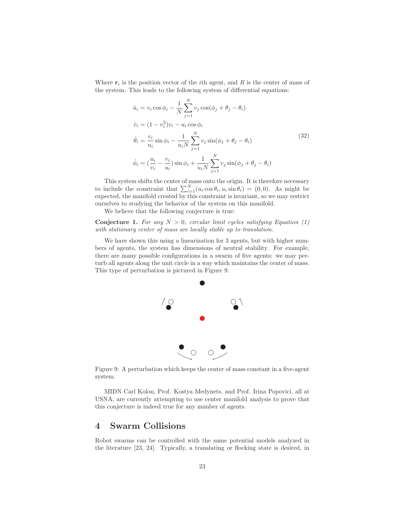Where  $\mathbf{r}_i$  is the position vector of the *i*th agent, and R is the center of mass of the system. This leads to the following system of differential equations:

$$
\dot{u}_i = v_i \cos \phi_i - \frac{1}{N} \sum_{j=1}^N v_j \cos(\phi_j + \theta_j - \theta_i)
$$
  
\n
$$
\dot{v}_i = (1 - v_i^2)v_i - u_i \cos \phi_i
$$
  
\n
$$
\dot{\theta}_i = \frac{v_i}{u_i} \sin \phi_i - \frac{1}{u_i N} \sum_{j=1}^N v_j \sin(\phi_j + \theta_j - \theta_i)
$$
  
\n
$$
\dot{\phi}_i = (\frac{u_i}{v_i} - \frac{v_i}{u_i}) \sin \phi_i + \frac{1}{u_i N} \sum_{j=1}^N v_j \sin(\phi_j + \theta_j - \theta_i)
$$
\n(32)

This system shifts the center of mass onto the origin. It is therefore necessary to include the constraint that  $\sum_{i=1}^{N} (u_i \cos \theta_i, u_i \sin \theta_i) = (0,0)$ . As might be expected, the manifold created by this constraint is invariant, so we may restrict ourselves to studying the behavior of the system on this manifold.

We believe that the following conjecture is true:

**Conjecture 1.** For any  $N > 0$ , circular limit cycles satisfying Equation (1) with stationary center of mass are locally stable up to translation.

We have shown this using a linearization for 3 agents, but with higher numbers of agents, the system has dimensions of neutral stability. For example, there are many possible configurations in a swarm of five agents: we may perturb all agents along the unit circle in a way which maintains the center of mass. This type of perturbation is pictured in Figure 9.



Figure 9: A perturbation which keeps the center of mass constant in a five-agent system.

MIDN Carl Kolon, Prof. Kostya Medynets, and Prof. Irina Popovici, all at USNA, are currently attempting to use center manifold analysis to prove that this conjecture is indeed true for any number of agents.

# **4 Swarm Collisions**

Robot swarms can be controlled with the same potential models analyzed in the literature [23, 24]. Typically, a translating or flocking state is desired, in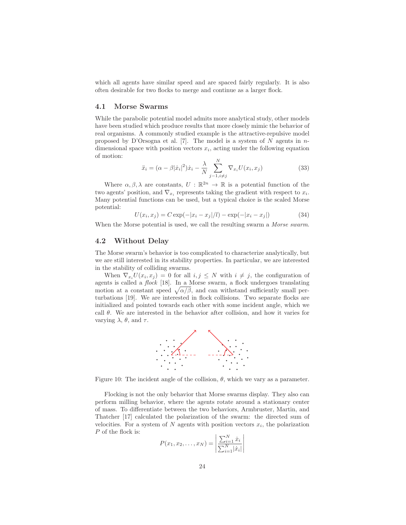which all agents have similar speed and are spaced fairly regularly. It is also often desirable for two flocks to merge and continue as a larger flock.

#### **4.1 Morse Swarms**

While the parabolic potential model admits more analytical study, other models have been studied which produce results that more closely mimic the behavior of real organisms. A commonly studied example is the attractive-repulsive model proposed by D'Orsogna et al. [7]. The model is a system of N agents in  $n$ dimensional space with position vectors  $x_i$ , acting under the following equation of motion:

$$
\ddot{x}_i = (\alpha - \beta |\dot{x}_i|^2) \dot{x}_i - \frac{\lambda}{N} \sum_{j=1, i \neq j}^N \nabla_{x_i} U(x_i, x_j)
$$
\n(33)

Where  $\alpha, \beta, \lambda$  are constants,  $U : \mathbb{R}^{2n} \to \mathbb{R}$  is a potential function of the two agents' position, and  $\nabla_{x_i}$  represents taking the gradient with respect to  $x_i$ . Many potential functions can be used, but a typical choice is the scaled Morse potential:

$$
U(x_i, x_j) = C \exp(-|x_i - x_j|/l) - \exp(-|x_i - x_j|)
$$
\n(34)

When the Morse potential is used, we call the resulting swarm a *Morse swarm*.

#### **4.2 Without Delay**

The Morse swarm's behavior is too complicated to characterize analytically, but we are still interested in its stability properties. In particular, we are interested in the stability of colliding swarms.

When  $\nabla_{x_i}U(x_i,x_j) = 0$  for all  $i, j \leq N$  with  $i \neq j$ , the configuration of agents is called a flock [18]. In a Morse swarm, a flock undergoes translating motion at a constant speed  $\sqrt{\alpha/\beta}$ , and can withstand sufficiently small perturbations [19]. We are interested in flock collisions. Two separate flocks are initialized and pointed towards each other with some incident angle, which we call  $\theta$ . We are interested in the behavior after collision, and how it varies for varying  $\lambda$ ,  $\theta$ , and  $\tau$ .



Figure 10: The incident angle of the collision,  $\theta$ , which we vary as a parameter.

Flocking is not the only behavior that Morse swarms display. They also can perform milling behavior, where the agents rotate around a stationary center of mass. To differentiate between the two behaviors, Armbruster, Martin, and Thatcher [17] calculated the polarization of the swarm: the directed sum of velocities. For a system of N agents with position vectors  $x_i$ , the polarization P of the flock is:

$$
P(x_1, x_2, \dots, x_N) = \left| \frac{\sum_{i=1}^{N} \dot{x}_i}{\sum_{i=1}^{N} |\dot{x}_i|} \right|
$$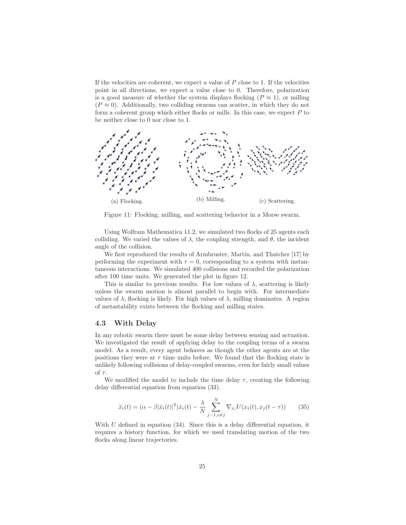If the velocities are coherent, we expect a value of  $P$  close to 1. If the velocities point in all directions, we expect a value close to 0. Therefore, polarization is a good measure of whether the system displays flocking  $(P \approx 1)$ , or milling  $(P \approx 0)$ . Additionally, two colliding swarms can scatter, in which they do not form a coherent group which either flocks or mills. In this case, we expect  $P$  to be neither close to 0 nor close to 1.



Figure 11: Flocking, milling, and scattering behavior in a Morse swarm.

Using Wolfram Mathematica 11.2, we simulated two flocks of 25 agents each colliding. We varied the values of  $\lambda$ , the coupling strength, and  $\theta$ , the incident angle of the collision.

We first reproduced the results of Armbruster, Martin, and Thatcher [17] by performing the experiment with  $\tau = 0$ , corresponding to a system with instantaneous interactions. We simulated 400 collisions and recorded the polarization after 100 time units. We generated the plot in figure 12.

This is similar to previous results. For low values of  $\lambda$ , scattering is likely unless the swarm motion is almost parallel to begin with. For intermediate values of  $\lambda$ , flocking is likely. For high values of  $\lambda$ , milling dominates. A region of metastability exists between the flocking and milling states.

#### **4.3 With Delay**

In any robotic swarm there must be some delay between sensing and actuation. We investigated the result of applying delay to the coupling terms of a swarm model. As a result, every agent behaves as though the other agents are at the positions they were at  $\tau$  time units before. We found that the flocking state is unlikely following collisions of delay-coupled swarms, even for fairly small values of  $\tau$ .

We modified the model to include the time delay  $\tau$ , creating the following delay differential equation from equation (33).

$$
\ddot{x}_i(t) = (\alpha - \beta |\dot{x}_i(t)|^2) \dot{x}_i(t) - \frac{\lambda}{N} \sum_{j=1, i \neq j}^{N} \nabla_{x_i} U(x_i(t), x_j(t-\tau)) \tag{35}
$$

With U defined in equation  $(34)$ . Since this is a delay differential equation, it requires a history function, for which we used translating motion of the two flocks along linear trajectories.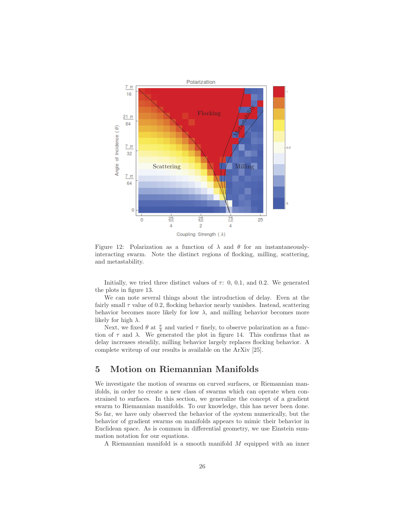

Figure 12: Polarization as a function of  $\lambda$  and  $\theta$  for an instantaneouslyinteracting swarm. Note the distinct regions of flocking, milling, scattering, and metastability.

Initially, we tried three distinct values of  $\tau$ : 0, 0.1, and 0.2. We generated the plots in figure 13.

We can note several things about the introduction of delay. Even at the fairly small  $\tau$  value of 0.2, flocking behavior nearly vanishes. Instead, scattering behavior becomes more likely for low  $\lambda$ , and milling behavior becomes more likely for high  $\lambda$ .

Next, we fixed  $\theta$  at  $\frac{\pi}{4}$  and varied  $\tau$  finely, to observe polarization as a function of  $\tau$  and  $\lambda$ . We generated the plot in figure 14. This confirms that as delay increases steadily, milling behavior largely replaces flocking behavior. A complete writeup of our results is available on the ArXiv [25].

## **5 Motion on Riemannian Manifolds**

We investigate the motion of swarms on curved surfaces, or Riemannian manifolds, in order to create a new class of swarms which can operate when constrained to surfaces. In this section, we generalize the concept of a gradient swarm to Riemannian manifolds. To our knowledge, this has never been done. So far, we have only observed the behavior of the system numerically, but the behavior of gradient swarms on manifolds appears to mimic their behavior in Euclidean space. As is common in differential geometry, we use Einstein summation notation for our equations.

A Riemannian manifold is a smooth manifold M equipped with an inner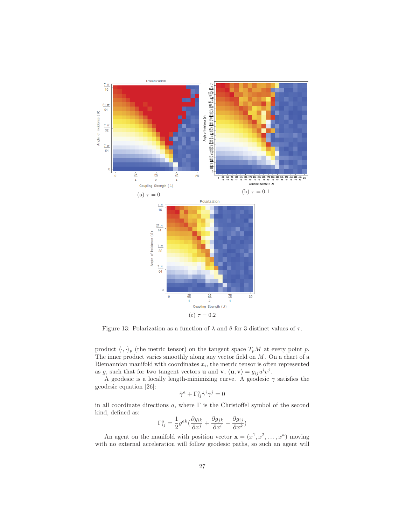

Figure 13: Polarization as a function of  $\lambda$  and  $\theta$  for 3 distinct values of  $\tau$ .

product  $\langle \cdot, \cdot \rangle_p$  (the metric tensor) on the tangent space  $T_pM$  at every point p. The inner product varies smoothly along any vector field on  $M$ . On a chart of a Riemannian manifold with coordinates  $x_i$ , the metric tensor is often represented as g, such that for two tangent vectors **u** and **v**,  $\langle \mathbf{u}, \mathbf{v} \rangle = g_{ij} u^i v^j$ .

A geodesic is a locally length-minimizing curve. A geodesic  $\gamma$  satisfies the geodesic equation [26]:

$$
\ddot{\gamma}^a + \Gamma^a_{ij} \dot{\gamma}^i \dot{\gamma}^j = 0
$$

in all coordinate directions  $a$ , where  $\Gamma$  is the Christoffel symbol of the second kind, defined as:

$$
\Gamma_{ij}^{a}=\frac{1}{2}g^{ak}(\frac{\partial g_{ik}}{\partial x^{j}}+\frac{\partial g_{jk}}{\partial x^{i}}-\frac{\partial g_{ij}}{\partial x^{k}})
$$

An agent on the manifold with position vector  $\mathbf{x} = (x^1, x^2, \dots, x^a)$  moving with no external acceleration will follow geodesic paths, so such an agent will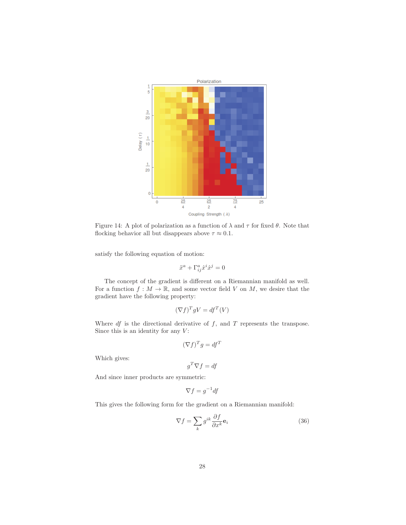

Figure 14: A plot of polarization as a function of  $\lambda$  and  $\tau$  for fixed  $\theta$ . Note that flocking behavior all but disappears above  $\tau \approx 0.1$ .

satisfy the following equation of motion:

$$
\ddot{x}^a + \Gamma^a_{ij}\dot{x}^i \dot{x}^j = 0
$$

The concept of the gradient is different on a Riemannian manifold as well. For a function  $f : M \to \mathbb{R}$ , and some vector field V on M, we desire that the gradient have the following property:

$$
(\nabla f)^T g V = df^T(V)
$$

Where  $df$  is the directional derivative of  $f$ , and  $T$  represents the transpose. Since this is an identity for any  $V$ :

$$
(\nabla f)^T g = df^T
$$

Which gives:

$$
g^T \nabla f = df
$$

And since inner products are symmetric:

$$
\nabla f = g^{-1} df
$$

This gives the following form for the gradient on a Riemannian manifold:

$$
\nabla f = \sum_{k} g^{ik} \frac{\partial f}{\partial x^{k}} \mathbf{e}_{i}
$$
 (36)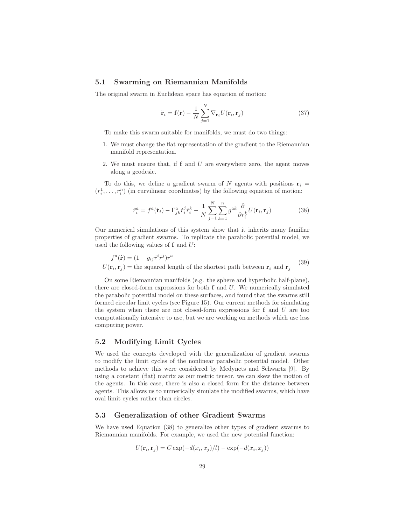#### **5.1 Swarming on Riemannian Manifolds**

The original swarm in Euclidean space has equation of motion:

$$
\ddot{\mathbf{r}}_i = \mathbf{f}(\dot{\mathbf{r}}) - \frac{1}{N} \sum_{j=1}^{N} \nabla_{\mathbf{r}_i} U(\mathbf{r}_i, \mathbf{r}_j)
$$
(37)

To make this swarm suitable for manifolds, we must do two things:

- 1. We must change the flat representation of the gradient to the Riemannian manifold representation.
- 2. We must ensure that, if **f** and U are everywhere zero, the agent moves along a geodesic.

To do this, we define a gradient swarm of N agents with positions  $\mathbf{r}_i =$  $(r_i^1, \ldots, r_i^n)$  (in curvilinear coordinates) by the following equation of motion:

$$
\ddot{r}_i^a = f^a(\dot{\mathbf{r}}_i) - \Gamma_{jk}^a \dot{r}_i^j \dot{r}_i^k - \frac{1}{N} \sum_{j=1}^N \sum_{k=1}^n g^{ak} \frac{\partial}{\partial r_i^k} U(\mathbf{r}_i, \mathbf{r}_j)
$$
(38)

Our numerical simulations of this system show that it inherits many familiar properties of gradient swarms. To replicate the parabolic potential model, we used the following values of **f** and U:

$$
f^{a}(\dot{\mathbf{r}}) = (1 - g_{ij}\dot{r}^{i}\dot{r}^{j})r^{a}
$$
  
 
$$
U(\mathbf{r}_{i}, \mathbf{r}_{j}) =
$$
 the squared length of the shortest path between  $\mathbf{r}_{i}$  and  $\mathbf{r}_{j}$  (39)

On some Riemannian manifolds (e.g. the sphere and hyperbolic half-plane), there are closed-form expressions for both **f** and U. We numerically simulated the parabolic potential model on these surfaces, and found that the swarms still formed circular limit cycles (see Figure 15). Our current methods for simulating the system when there are not closed-form expressions for **f** and U are too computationally intensive to use, but we are working on methods which use less computing power.

#### **5.2 Modifying Limit Cycles**

We used the concepts developed with the generalization of gradient swarms to modify the limit cycles of the nonlinear parabolic potential model. Other methods to achieve this were considered by Medynets and Schwartz [9]. By using a constant (flat) matrix as our metric tensor, we can skew the motion of the agents. In this case, there is also a closed form for the distance between agents. This allows us to numerically simulate the modified swarms, which have oval limit cycles rather than circles.

#### **5.3 Generalization of other Gradient Swarms**

We have used Equation (38) to generalize other types of gradient swarms to Riemannian manifolds. For example, we used the new potential function:

$$
U(\mathbf{r}_i, \mathbf{r}_j) = C \exp(-d(x_i, x_j)/l) - \exp(-d(x_i, x_j))
$$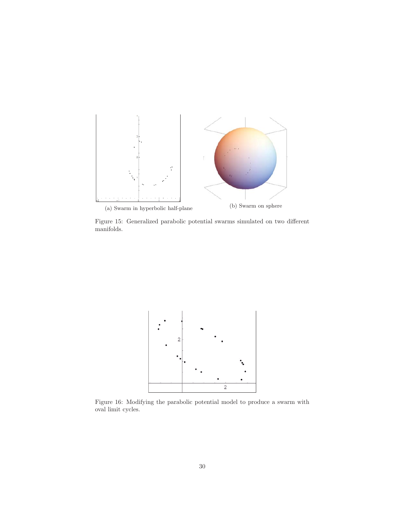

Figure 15: Generalized parabolic potential swarms simulated on two different manifolds.



Figure 16: Modifying the parabolic potential model to produce a swarm with oval limit cycles.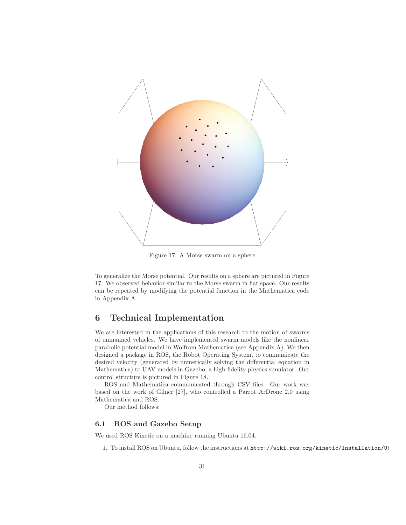

Figure 17: A Morse swarm on a sphere

To generalize the Morse potential. Our results on a sphere are pictured in Figure 17. We observed behavior similar to the Morse swarm in flat space. Our results can be repeated by modifying the potential function in the Mathematica code in Appendix A.

## **6 Technical Implementation**

We are interested in the applications of this research to the motion of swarms of unmanned vehicles. We have implemented swarm models like the nonlinear parabolic potential model in Wolfram Mathematica (see Appendix A). We then designed a package in ROS, the Robot Operating System, to communicate the desired velocity (generated by numerically solving the differential equation in Mathematica) to UAV models in Gazebo, a high-fidelity physics simulator. Our control structure is pictured in Figure 18.

ROS and Mathematica communicated through CSV files. Our work was based on the work of Gilner [27], who controlled a Parrot ArDrone 2.0 using Mathematica and ROS.

Our method follows:

#### **6.1 ROS and Gazebo Setup**

We used ROS Kinetic on a machine running Ubuntu 16.04.

1. To install ROS on Ubuntu, follow the instructions at http://wiki.ros.org/kinetic/Installation/Ub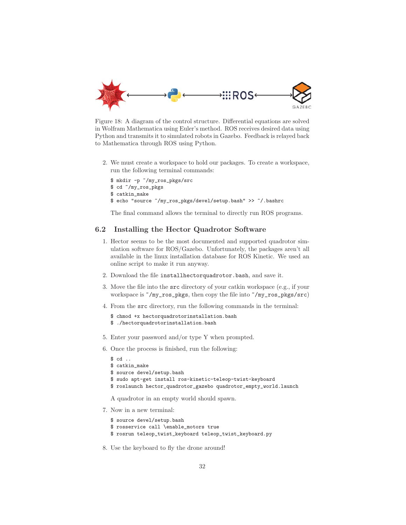

Figure 18: A diagram of the control structure. Differential equations are solved in Wolfram Mathematica using Euler's method. ROS receives desired data using Python and transmits it to simulated robots in Gazebo. Feedback is relayed back to Mathematica through ROS using Python.

2. We must create a workspace to hold our packages. To create a workspace, run the following terminal commands:

```
$ mkdir -p ~/my_ros_pkgs/src
$ cd ~/my_ros_pkgs
$ catkin_make
$ echo "source ~/my_ros_pkgs/devel/setup.bash" >> ~/.bashrc
```
The final command allows the terminal to directly run ROS programs.

#### **6.2 Installing the Hector Quadrotor Software**

- 1. Hector seems to be the most documented and supported quadrotor simulation software for ROS/Gazebo. Unfortunately, the packages aren't all available in the linux installation database for ROS Kinetic. We used an online script to make it run anyway.
- 2. Download the file installhectorquadrotor.bash, and save it.
- 3. Move the file into the src directory of your catkin workspace (e.g., if your workspace is ~/my\_ros\_pkgs, then copy the file into ~/my\_ros\_pkgs/src)
- 4. From the src directory, run the following commands in the terminal:
	- \$ chmod +x hectorquadrotorinstallation.bash
	- \$ ./hectorquadrotorinstallation.bash
- 5. Enter your password and/or type Y when prompted.
- 6. Once the process is finished, run the following:

```
$ cd ..
$ catkin_make
$ source devel/setup.bash
$ sudo apt-get install ros-kinetic-teleop-twist-keyboard
$ roslaunch hector_quadrotor_gazebo quadrotor_empty_world.launch
```
A quadrotor in an empty world should spawn.

7. Now in a new terminal:

```
$ source devel/setup.bash
$ rosservice call \enable_motors true
```
- \$ rosrun teleop\_twist\_keyboard teleop\_twist\_keyboard.py
- 8. Use the keyboard to fly the drone around!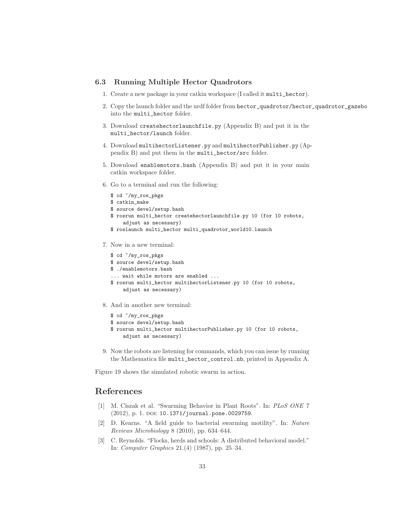#### **6.3 Running Multiple Hector Quadrotors**

- 1. Create a new package in your catkin workspace (I called it multi\_hector).
- 2. Copy the launch folder and the urdf folder from hector\_quadrotor/hector\_quadrotor\_gazebo into the multi\_hector folder.
- 3. Download createhectorlaunchfile.py (Appendix B) and put it in the multi\_hector/launch folder.
- 4. Download multihectorListener.py and multihectorPublisher.py (Appendix B) and put them in the multi\_hector/src folder.
- 5. Download enablemotors.bash (Appendix B) and put it in your main catkin workspace folder.
- 6. Go to a terminal and run the following:

```
$ cd ~/my_ros_pkgs
$ catkin_make
$ source devel/setup.bash
$ rosrun multi_hector createhectorlaunchfile.py 10 (for 10 robots,
    adjust as necessary)
$ roslaunch multi_hector multi_quadrotor_world10.launch
```
7. Now in a new terminal:

```
$ cd ~/my_ros_pkgs
$ source devel/setup.bash
$ ./enablemotors.bash
... wait while motors are enabled ...
$ rosrun multi_hector multihectorListener.py 10 (for 10 robots,
    adjust as necessary)
```
- 8. And in another new terminal:
	- \$ cd ~/my\_ros\_pkgs
	- \$ source devel/setup.bash
	- \$ rosrun multi\_hector multihectorPublisher.py 10 (for 10 robots, adjust as necessary)
- 9. Now the robots are listening for commands, which you can issue by running the Mathematica file multi\_hector\_control.nb, printed in Appendix A.

Figure 19 shows the simulated robotic swarm in action.

# **References**

- [1] M. Ciszak et al. "Swarming Behavior in Plant Roots". In: PLoS ONE 7 (2012), p. 1. DOI: 10.1371/journal.pone.0029759.
- [2] D. Kearns. "A field guide to bacterial swarming motility". In: Nature Reviews Microbiology 8 (2010), pp. 634–644.
- [3] C. Reynolds. "Flocks, herds and schools: A distributed behavioral model." In: Computer Graphics 21.(4) (1987), pp. 25–34.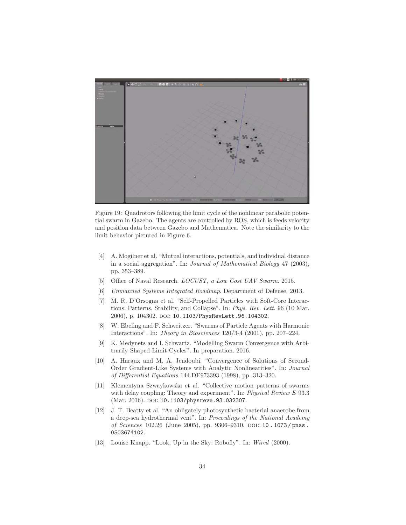

Figure 19: Quadrotors following the limit cycle of the nonlinear parabolic potential swarm in Gazebo. The agents are controlled by ROS, which is feeds velocity and position data between Gazebo and Mathematica. Note the similarity to the limit behavior pictured in Figure 6.

- [4] A. Mogilner et al. "Mutual interactions, potentials, and individual distance in a social aggregation". In: Journal of Mathematical Biology 47 (2003), pp. 353–389.
- [5] Office of Naval Research.  $LOCUST$ , a Low Cost UAV Swarm. 2015.
- [6] Unmanned Systems Integrated Roadmap. Department of Defense. 2013.
- [7] M. R. D'Orsogna et al. "Self-Propelled Particles with Soft-Core Interactions: Patterns, Stability, and Collapse". In: Phys. Rev. Lett. 96 (10 Mar. 2006), p. 104302. DOI: 10.1103/PhysRevLett.96.104302.
- [8] W. Ebeling and F. Schweitzer. "Swarms of Particle Agents with Harmonic Interactions". In: Theory in Biosciences 120/3-4 (2001), pp. 207–224.
- [9] K. Medynets and I. Schwartz. "Modelling Swarm Convergence with Arbitrarily Shaped Limit Cycles". In preparation. 2016.
- [10] A. Haraux and M. A. Jendoubi. "Convergence of Solutions of Second-Order Gradient-Like Systems with Analytic Nonlinearities". In: Journal of Differential Equations 144.DE973393 (1998), pp. 313–320.
- [11] Klementyna Szwaykowska et al. "Collective motion patterns of swarms with delay coupling: Theory and experiment". In: Physical Review E 93.3 (Mar. 2016). DOI: 10.1103/physreve.93.032307.
- [12] J. T. Beatty et al. "An obligately photosynthetic bacterial anaerobe from a deep-sea hydrothermal vent". In: Proceedings of the National Academy of Sciences 102.26 (June 2005), pp. 9306–9310. doi: 10 . 1073 / pnas . 0503674102.
- [13] Louise Knapp. "Look, Up in the Sky: Robofly". In: Wired (2000).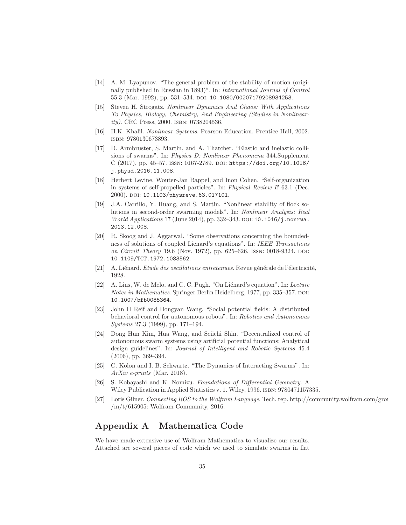- [14] A. M. Lyapunov. "The general problem of the stability of motion (originally published in Russian in 1893)". In: International Journal of Control 55.3 (Mar. 1992), pp. 531-534. DOI: 10.1080/00207179208934253.
- [15] Steven H. Strogatz. Nonlinear Dynamics And Chaos: With Applications To Physics, Biology, Chemistry, And Engineering (Studies in Nonlinearity). CRC Press, 2000. ISBN: 0738204536.
- [16] H.K. Khalil. Nonlinear Systems. Pearson Education. Prentice Hall, 2002. isbn: 9780130673893.
- [17] D. Armbruster, S. Martin, and A. Thatcher. "Elastic and inelastic collisions of swarms". In: Physica D: Nonlinear Phenomena 344.Supplement C (2017), pp. 45–57. issn: 0167-2789. doi: https://doi.org/10.1016/ j.physd.2016.11.008.
- [18] Herbert Levine, Wouter-Jan Rappel, and Inon Cohen. "Self-organization in systems of self-propelled particles". In: Physical Review E 63.1 (Dec. 2000). doi: 10.1103/physreve.63.017101.
- [19] J.A. Carrillo, Y. Huang, and S. Martin. "Nonlinear stability of flock solutions in second-order swarming models". In: Nonlinear Analysis: Real World Applications 17 (June 2014), pp. 332-343. DOI:  $10.1016/j$ .nonrwa. 2013.12.008.
- [20] R. Skoog and J. Aggarwal. "Some observations concerning the boundedness of solutions of coupled Lienard's equations". In: IEEE Transactions on Circuit Theory 19.6 (Nov. 1972), pp. 625–626. ISSN: 0018-9324. DOI: 10.1109/TCT.1972.1083562.
- [21] A. Liénard. Etude des oscillations entretenues. Revue générale de l'électricité, 1928.
- [22] A. Lins, W. de Melo, and C. C. Pugh. "On Liénard's equation". In: Lecture Notes in Mathematics. Springer Berlin Heidelberg, 1977, pp. 335–357. DOI: 10.1007/bfb0085364.
- [23] John H Reif and Hongyan Wang. "Social potential fields: A distributed behavioral control for autonomous robots". In: Robotics and Autonomous Systems 27.3 (1999), pp. 171–194.
- [24] Dong Hun Kim, Hua Wang, and Seiichi Shin. "Decentralized control of autonomous swarm systems using artificial potential functions: Analytical design guidelines". In: Journal of Intelligent and Robotic Systems 45.4 (2006), pp. 369–394.
- [25] C. Kolon and I. B. Schwartz. "The Dynamics of Interacting Swarms". In: ArXiv e-prints (Mar. 2018).
- [26] S. Kobayashi and K. Nomizu. Foundations of Differential Geometry. A Wiley Publication in Applied Statistics v. 1. Wiley, 1996. isbn: 9780471157335.
- [27] Loris Gilner. Connecting ROS to the Wolfram Language. Tech. rep. http://community.wolfram.com/grou  $/m/t/615905$ : Wolfram Community, 2016.

# **Appendix A Mathematica Code**

We have made extensive use of Wolfram Mathematica to visualize our results. Attached are several pieces of code which we used to simulate swarms in flat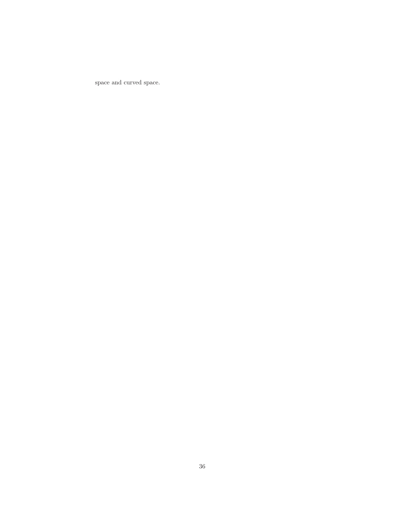space and curved space.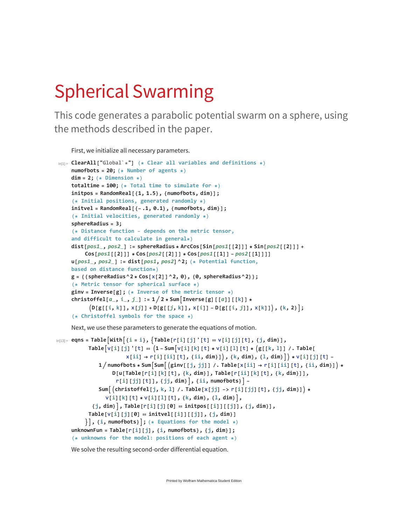# Spherical Swarming

This code generates a parabolic potential swarm on a sphere, using the methods described in the paper.

First, we initialize all necessary parameters.

```
In[1]:= ClearAll["Global`*"] (* Clear all variables and definitions *)
    numofbots = 20; (* Number of agents *)
    dim = 2; (* Dimension *)
    totaltime = 100; (* Total time to simulate for *)
    initpos = RandomReal[{1, 1.5}, {numofbots, dim}];
    (* Initial positions, generated randomly *)
    initvel = RandomReal[{-.1, 0.1}, {numofbots, dim}];
    (* Initial velocities, generated randomly *)
    sphereRadius = 3;
    (* Distance function - depends on the metric tensor,
    and difficult to calculate in general*)
    dist[pos1_, pos2_] := sphereRadius * ArcCos[Sin[pos1[[2]]] * Sin[pos2[[2]]] +
         Cos[pos1[[2]]] * Cos[pos2[[2]]] * Cos[pos1[[1]] - pos2[[1]]]]
    u[pos1_, pos2_] := dist[pos1, pos2]^2; (* Potential function,
    based on distance function*)
    g = {{sphereRadius^2 * Cos[x[2]]^2, 0}, {0, sphereRadius^2}};
    (* Metric tensor for spherical surface *)
    ginv = Inverse[g]; (* Inverse of the metric tensor *)
    christoffel[a_, i_, j_] := 1  2 * Sum-
Inverse[g][[a]][[k]] *
          (D[g[[i, k]], x[j]] + D[g[[j, k]], x[i]] - D[g[[i, j]], x[k]]), {k, 2}],(* Christoffel symbols for the space *)
```
Next, we use these parameters to generate the equations of motion.

```
\mathsf{L}_{\mathsf{I} \cap \{13\}^{m}} eqns = Table [\mathsf{With} \,|\, \{\, \texttt{i} = \texttt{i} \,\},\, \{\, \texttt{Table} \, [\, \texttt{r} \, [\, \texttt{i} \,]\, [\, \texttt{j} \,]\, \, [\, \texttt{t} \,]\, \; \texttt{iv} \, \} , \{\, \texttt{j} \, ,\, \, \texttt{dim} \,\} ,
             Table[v[i][j] '[t] == (1 – Sum[v[i][k][t] * v[i][l][t] * (g[[k, l]] /. Table[
                             x[i] \rightarrow r[i][ii][t], {ii, dim}], {k, dim}, {l, dim} \rangle * v[i][j][t] -
                 1/numofbots∗Sum[Sum[(ginv[[j, jj]] /. Table[x[ii] → r[i][ii][t], {ii, dim}]) *
                       D[u[Table[r[i][k][t], {k, dim}], Table[r[ii][k][t], {k, dim}]],
                        r[i][jj][t]], {jj, dim}, {ii, numofbots} -
                 Sum[(christoffel[j, k, l] /. Table[x[jj] -> r[i][jj][t], {jj, dim}]) *
                    v[i][k][t] * v[i][l][t], {k, dim}, {l, dim},
              \{j, dim\}, Table[r[i][j][0] == initpos[[i]][[j]], \{j, dim\}],
             Table[v[i][j][0]  initvel[[i]][[j]], {j, dim}]
           	, {i, numofbots}; (* Equations for the model *)
      unknownFun = Table[r[i][j], {i, numofbots}, {j, dim}];
      (* unknowns for the model: positions of each agent *)
```
We solve the resulting second-order differential equation.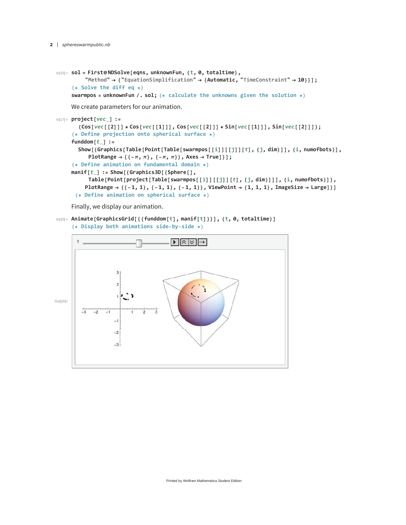```
In[15]:= sol = First@NDSolve[eqns, unknownFun, {t, 0, totaltime},
         "Method"  {"EquationSimplification"  {Automatic, "TimeConstraint"  10}}];
     (* Solve the diff eq *)
     swarmpos = unknownFun /. sol; (* calculate the unknowns given the solution *)
```
We create parameters for our animation.

```
In[17]:= project[vec_] :=
       {Cos[vec[[2]]] * Cos[vec[[1]]]}, Cos[vec[[2]]], Cos[vec[[2]]] * Sin[vec[[1]]], Sin[vec[[2]]]};(* Define projection onto spherical surface *)
     funddom[t_] :=
       Show [{Graphics [Table [Point [Table [swarmpos [[i]][[j]][t], {j, dim}]], {i, numofbots}],
           PlotRange  {{-
, 
}, {-
, 
}}, Axes  True]}];
     (* Define animation on fundamental domain *)
     manif[t_] := Show[{Graphics3D[{Sphere[],
          Table[Point[project[Table[swarmpos[[i]][[j]][t], {j, dim}]]], {i, numofbots}]},
         PlotRange  {{-1, 1}, {-1, 1}, {-1, 1}}, ViewPoint  {1, 1, 1}, ImageSize  Large]}]
      (* Define animation on spherical surface *)
```
Finally, we display our animation.

In[20]:= **Animate[GraphicsGrid[{{funddom[t], manif[t]}}], {t, 0, totaltime}] (\* Display both animations side-by-side \*)**

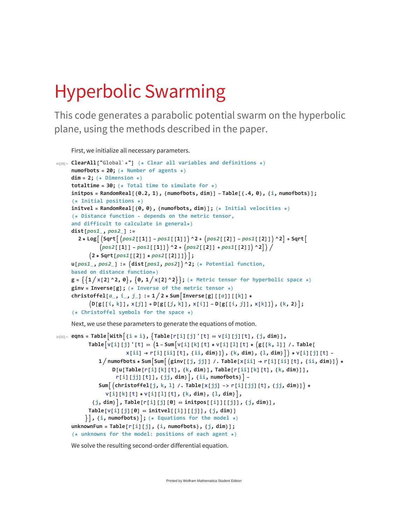# Hyperbolic Swarming

This code generates a parabolic potential swarm on the hyperbolic plane, using the methods described in the paper.

First, we initialize all necessary parameters.

```
In[39]:= ClearAll["Global`*"] (* Clear all variables and definitions *)
     numofbots = 20; (* Number of agents *)
     dim = 2; (* Dimension *)
     totaltime = 30; (* Total time to simulate for *)
     initpos = RandomReal[{0.2, 1}, {numofbots, dim}] - Table[{.4, 0}, {i, numofbots}];
     (* Initial positions *)
     initvel = RandomReal[{0, 0}, {numofbots, dim}]; (* Initial velocities *)
     (* Distance function - depends on the metric tensor,
     and difficult to calculate in general*)
     dist[pos1_, pos2_] :=
        2 * Log [ (Sqrt [ (pos2 [ [1] ] - pos1 [ [1] ] ) ^2 + (pos2 [ [2] ] - pos1 [ [2] ] ) ^2 ] + Sqrt [
                \left(\text{pos2}[\text{[1]}] - \text{pos1}[\text{[1]}]\right) ^2 + \left(\text{pos2}[\text{[2]}] + \text{pos1}[\text{[2]}]\right) ^2]) /
            -
2 * Sqrt[pos1[[2]] * pos2[[2]]];
     u[pos1_, pos2_] := -
dist[pos1, pos2]^2; (* Potential function,
     based on distance function*)
     g = \{ \{1/x[2]\land 2, 0\}, \{0, 1/x[2]\land 2\} \}; (* Metric tensor for hyperbolic space *)
     ginv = Inverse[g]; (* Inverse of the metric tensor *)
     christoffel[a_, i_, j_] := 1  2 * SumInverse[g][[a]][[k]] *
            (D[g[[i, k]], x[j]] + D[g[[j, k]], x[i]] - D[g[[i, j]], x[k]]), {k, 2}];(* Christoffel symbols for the space *)
```
Next, we use these parameters to generate the equations of motion.

```
\ln[50]:= eqns = Table [With [i = i], [Table[r[i][j] ' [t] == V[i][j][t], \{j, dim\}],Table[v[i][j] '[t] == (1 – Sum[v[i][k][t] * v[i][l][t] * (g[[k, l]] /. Table[
                       x[i] \rightarrow r[i][ii][t], {ii, dim}, {k, dim}, {l, dim}, \} x[i][j][t]1/numofbots∗Sum[Sum[(ginv[[j, jj]] /. Table[x[ii] → r[i][ii][t], {ii, dim}]) *
                   D[u[Table[r[i][k][t], {k, dim}], Table[r[ii][k][t], {k, dim}]],
                    r[i][jj][t]], {jj, dim}, {ii, numofbots} -
              Sum[(christoffel[j, k, l] /. Table[x[jj] -> r[i][jj][t], {jj, dim}]) *
                v[i][k][t] * v[i][l][t], {k, dim}, {l, dim},
            \{j, dim\}, Table[r[i][j][0] == initpos[[i]][[j]], \{j, dim\}],
          Table[v[i][j][0]  initvel[[i]][[j]], {j, dim}]
         , {i, numofbots}; (* Equations for the model *)
     unknownFun = Table[r[i][j], {i, numofbots}, {j, dim}];
     (* unknowns for the model: positions of each agent *)
```
We solve the resulting second-order differential equation.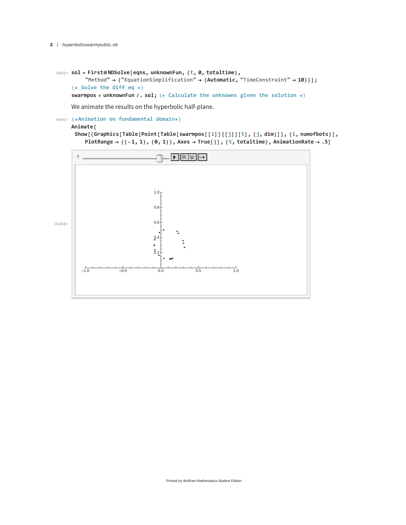```
In[52]:= sol = First@NDSolve[eqns, unknownFun, {t, 0, totaltime},
         "Method" 	 {"EquationSimplification" 	 {Automatic, "TimeConstraint" 	 10}}];
     (* Solve the diff eq *)
```
**swarmpos = unknownFun /. sol; (\* Calculate the unknowns given the solution \*)**

We animate the results on the hyperbolic half-plane.

In[54]:= **(\*Animation on fundamental domain\*)**

#### **Animate[**

Show[{Graphics[Table[Point[Table[swarmpos[[i]][[j]][t], {j, dim}]], {i, numofbots}], PlotRange  $\rightarrow$  {{-1, 1}, {0, 1}}, Axes  $\rightarrow$  True]}], {t, totaltime}, AnimationRate  $\rightarrow$  .5]

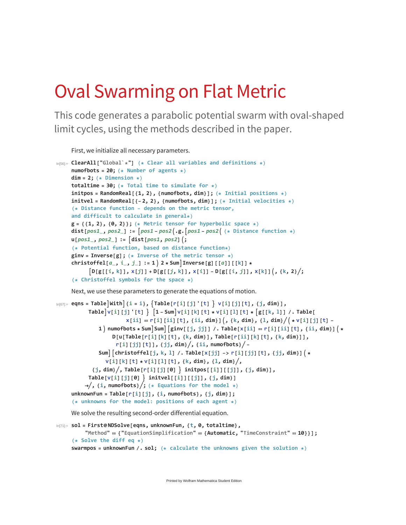# Oval Swarming on Flat Metric

This code generates a parabolic potential swarm with oval-shaped limit cycles, using the methods described in the paper.

First, we initialize all necessary parameters.

```
In[56]:= ClearAll["Global`*"] (* Clear all variables and definitions *)
    numofbots = 20; (* Number of agents *)
    dim = 2; (* Dimension *)
    totaltime = 30; (* Total time to simulate for *)
    initpos = RandomReal[{1, 2}, {numofbots, dim}]; (* Initial positions *)
    initvel = RandomReal[{-2, 2}, {numofbots, dim}]; (* Initial velocities *)
     (* Distance function - depends on the metric tensor,
    and difficult to calculate in general*)
     g = {{1, 2}, {0, 2}}; (* Metric tensor for hyperbolic space *)
     dist[pos1, pos2] := [pos1 - pos2].g.[pos1 - pos2] (* Distance function *)u[pos1_, pos2_] := dist[pos1, pos2]-
;
     (* Potential function, based on distance function*)
     ginv = Inverse[g]; (* Inverse of the metric tensor *)
     christoffel[a_, i_, j_] := 1  2 * SumInverse[g][[a]][[k]] *
           [D[g[[i, k]], x[j]] + D[g[[j, k]], x[i]] - D[g[[i, j]], x[k]](, {k, 2}/j])(* Christoffel symbols for the space *)
```
Next, we use these parameters to generate the equations of motion.

```
In [67] = eqns = Table \text{With} \{i = i\}, \{Table [r[i][j]'[t]\} \lor [i][j][t], \{j, dim\}],Table v[i][j][t] [1 - Sum]v[i][k][t] * v[i][l][t] * [g[[k, 1]] /. Table [
                        x[ii] == r[i][ii][t], {ii, dim}] (, {k, dim}, {l, dim}/( * v[i][j][t] -
              1) numofbots * Sum|Sum|[ginv[[j, jj]] /. Table[x[ii] == r[i][ii][t], {ii, dim}]( *
                   D[u[Table[r[i][k][t], {k, dim}], Table[r[ii][k][t], {k, dim}]]r[i][jj][t]], {jj, dim}, {ii, numofbots} -
              Sum||christoffel[j, k, l] /. Table[x[jj] -> r[i][jj][t], {jj, dim}](*
                v[i][k][t] * v[i][l][t], {k, dim}, {l, dim},
            \{j, dim\}/, Table[r[i][j][0] \} initpos[[i]][[j]], \{j, dim\}],
           Table[v[i][j][0]  initvel[[i]][[j]], {j, dim}]
          \rightarrow f f i, numofbots} /; (* Equations for the model *)
     unknownFun = Table[r[i][j], {i, numofbots}, {j, dim}];
     (* unknowns for the model: positions of each agent *)
```
We solve the resulting second-order differential equation.

```
In[71]:= sol = First@NDSolve[eqns, unknownFun, {t, 0, totaltime},
         "Method"  {"EquationSimplification"  {Automatic, "TimeConstraint"  10}}];
     (* Solve the diff eq *)
     swarmpos = unknownFun /. sol; (* calculate the unknowns given the solution *)
```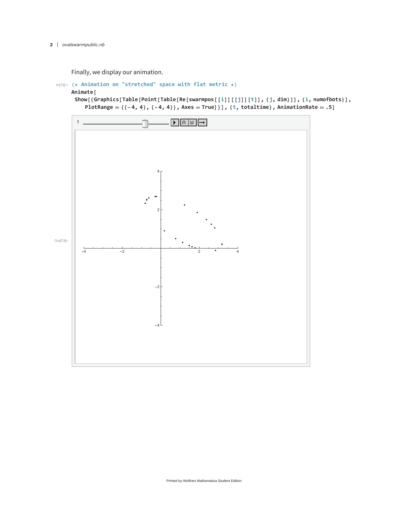Finally, we display our animation.

```
In[73]:= (* Animation on "stretched" space with flat metric *)
```
**Animate[**

Show [{Graphics [Table [Point [Table [Re [swarmpos [[i]] [[j]] [t]], {j, dim}]], {i, numofbots}], **PlotRange {{-4, 4}, {-4, 4}}, Axes True]}], {t, totaltime}, AnimationRate .5]**

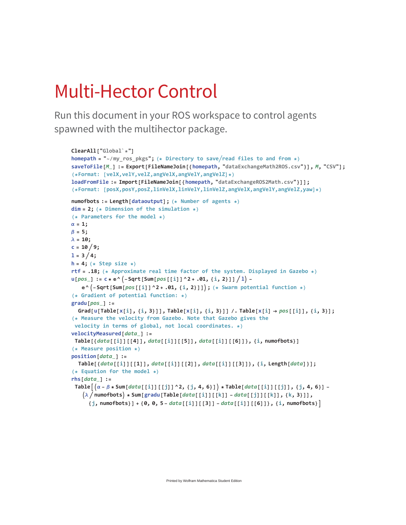# Multi-Hector Control

Run this document in your ROS workspace to control agents spawned with the multihector package.

```
ClearAll["Global`*"]
homepath = "~/my_ros_pkgs"; (* Directory to saveread files to and from *)
saveToFile[M_] := Export[FileNameJoin[{homepath, "dataExchangeMath2ROS.csv"}], M, "CSV"];
(*Format: [velX,velY,velZ,angVelX,angVelY,angVelZ]*)
loadFromFile := Import[FileNameJoin[{homepath, "dataExchangeROS2Math.csv"}]];
(*Format: [posX,posY,posZ,linVelX,linVelY,linVelZ,angVelX,angVelY,angVelZ,yaw]*)
numofbots := Length[dataoutput]; (* Number of agents *)
dim = 2; (* Dimension of the simulation *)
(* Parameters for the model *)
\alpha = 1;
\beta = 5;\lambda = 10;c = 10/9;1 = 3 / 4;h = 4; (* Step size *)
rtf = .18; (* Approximate real time factor of the system. Displayed in Gazebo *)
u[pos_]: = c * e^(-sqrt[5]{-Sqrt[Sum[pos[[i]]^2 + .01, {i, 2}]]/1) -^-Sqrt[Sum[pos[[i]]^2 + .01, {i, 2}]]; (* Swarm potential function *)
(* Gradient of potential function: *)
gradu[pos_] :=
  Grad[u[Table[x[i], {i, 3}]], Table[x[i], {i, 3}]] /. Table[x[i] \rightarrow pos[[i]], {i, 3}];
(* Measure the velocity from Gazebo. Note that Gazebo gives the
 velocity in terms of global, not local coordinates. *)
velocityMeasured[data_] :=
Table[{data[[i]][[4]], data[[i]][[5]], data[[i]][[6]]}, {i, numofbots}]
(* Measure position *)
position[data_] :=
  Table[{data[[i]][[1]], data[[i]][[2]], data[[i]][[3]]}, {i, Length[data]}];
(* Equation for the model *)
rhs[data_] :=
 Table[(\alpha - \beta * Sum[data[[i]] [[j]]^2, \{j, 4, 6\}]) * Table[data[[i]] [[j]], \{j, 4, 6\}](\lambda / numofbots) * Sum[gradu [Table [data [[i]] [[k]] - data [[j]] [[k]], {k, 3}]],
      {j, numofbots}] + {0, 0, 5 - data[[i]][[3]] - data[[i]][[6]]}, {i, numofbots}
```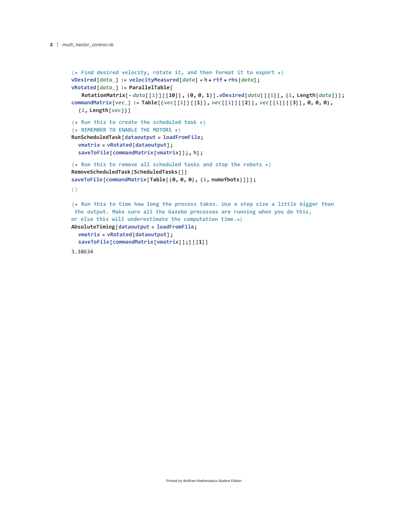```
(* Find desired velocity, rotate it, and then format it to export *)
vDesired[data_] := velocityMeasured[data] + h * rtf * rhs[data];
vRotated[data_] := ParallelTable[
   RotationMatrix[-data[[i]][[10]], {0, 0, 1}].vDesired[data][[i]], {i, Length[data]}];
commandMatrix[vec_] := Table[{vec[[i]][[1]], vec[[i]][[2]], vec[[i]][[3]], 0, 0, 0},
  {i, Length[vec]}]
(* Run this to create the scheduled task *)
(* REMEMBER TO ENABLE THE MOTORS *)
RunScheduledTask[dataoutput = loadFromFile;
  vmatrix = vRotated[dataoutput];
  saveToFile[commandMatrix[vmatrix]];, h];
(* Run this to remove all scheduled tasks and stop the robots *)
RemoveScheduledTask[ScheduledTasks[]]
saveToFile[commandMatrix[Table[{0, 0, 0}, {i, numofbots}]]];
{}
(* Run this to time how long the process takes. Use a step size a little bigger than
the output. Make sure all the Gazebo processes are running when you do this,
or else this will underestimate the computation time.*)
AbsoluteTiming[dataoutput = loadFromFile;
  vmatrix = vRotated[dataoutput];
  saveToFile[commandMatrix[vmatrix]];][[1]]
3.38634
```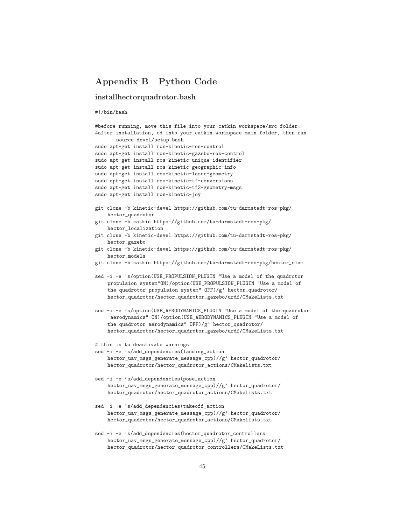# **Appendix B Python Code**

#### **installhectorquadrotor.bash**

```
#!/bin/bash
```

```
#before running, move this file into your catkin workspace/src folder.
#after installation, cd into your catkin workspace main folder, then run
       source devel/setup.bash
sudo apt-get install ros-kinetic-ros-control
sudo apt-get install ros-kinetic-gazebo-ros-control
sudo apt-get install ros-kinetic-unique-identifier
sudo apt-get install ros-kinetic-geographic-info
sudo apt-get install ros-kinetic-laser-geometry
sudo apt-get install ros-kinetic-tf-conversions
sudo apt-get install ros-kinetic-tf2-geometry-msgs
sudo apt-get install ros-kinetic-joy
git clone -b kinetic-devel https://github.com/tu-darmstadt-ros-pkg/
    hector_quadrotor
git clone -b catkin https://github.com/tu-darmstadt-ros-pkg/
    hector_localization
git clone -b kinetic-devel https://github.com/tu-darmstadt-ros-pkg/
    hector_gazebo
git clone -b kinetic-devel https://github.com/tu-darmstadt-ros-pkg/
    hector_models
git clone -b catkin https://github.com/tu-darmstadt-ros-pkg/hector_slam
sed -i -e 's/option(USE_PROPULSION_PLUGIN "Use a model of the quadrotor
    propulsion system"ON)/option(USE_PROPULSION_PLUGIN "Use a model of
    the quadrotor propulsion system" OFF)/g' hector_quadrotor/
    hector_quadrotor/hector_quadrotor_gazebo/urdf/CMakeLists.txt
sed -i -e 's/option(USE_AERODYNAMICS_PLUGIN "Use a model of the quadrotor
     aerodynamics" ON)/option(USE_AERODYNAMICS_PLUGIN "Use a model of
    the quadrotor aerodynamics" OFF)/g' hector_quadrotor/
    hector_quadrotor/hector_quadrotor_gazebo/urdf/CMakeLists.txt
# this is to deactivate warnings
sed -i -e 's/add_dependencies(landing_action
    hector_uav_msgs_generate_message_cpp)//g' hector_quadrotor/
    hector_quadrotor/hector_quadrotor_actions/CMakeLists.txt
sed -i -e 's/add_dependencies(pose_action
    hector_uav_msgs_generate_message_cpp)//g' hector_quadrotor/
    hector_quadrotor/hector_quadrotor_actions/CMakeLists.txt
sed -i -e 's/add_dependencies(takeoff_action
    hector_uav_msgs_generate_message_cpp)//g' hector_quadrotor/
    hector_quadrotor/hector_quadrotor_actions/CMakeLists.txt
sed -i -e 's/add_dependencies(hector_quadrotor_controllers
```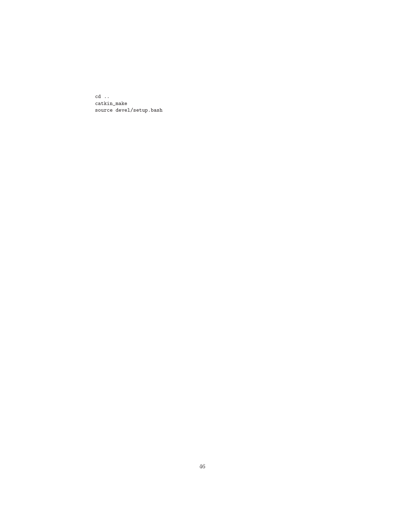$\ensuremath{\text{cd}}\xspace$  . <br> . catkin\_make source devel/setup.bash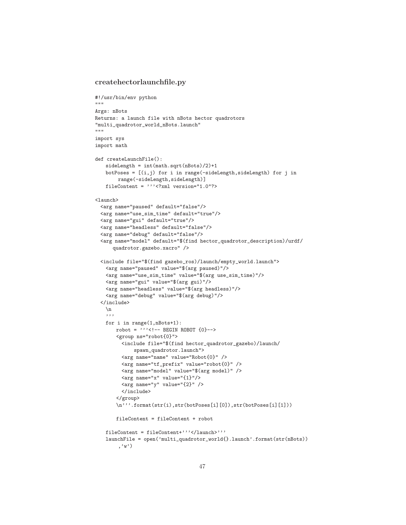#### **createhectorlaunchfile.py**

```
#!/usr/bin/env python
"""
Args: nBots
Returns: a launch file with nBots hector quadrotors
"multi_quadrotor_world_nBots.launch"
"" "" ""
import sys
import math
def createLaunchFile():
   sideLength = int(math.sqrt(nBots)/2)+1
   botPoses = [(i, j) for i in range(-sideLength, sideLength) for j in
        range(-sideLength,sideLength)]
   fileContent = '''<?xml version="1.0"?>
<launch>
 <arg name="paused" default="false"/>
 <arg name="use_sim_time" default="true"/>
 <arg name="gui" default="true"/>
 <arg name="headless" default="false"/>
  <arg name="debug" default="false"/>
  <arg name="model" default="$(find hector_quadrotor_description)/urdf/
      quadrotor.gazebo.xacro" />
 <include file="$(find gazebo_ros)/launch/empty_world.launch">
   <arg name="paused" value="$(arg paused)"/>
   <arg name="use_sim_time" value="$(arg use_sim_time)"/>
   <arg name="gui" value="$(arg gui)"/>
   <arg name="headless" value="$(arg headless)"/>
   <arg name="debug" value="$(arg debug)"/>
 </include>
   \verb|\n|'''
   for i in range(1,nBots+1):
       robot = '''<!-- BEGIN ROBOT {0}-><group ns="robot{0}">
         <include file="$(find hector_quadrotor_gazebo)/launch/
             spawn_quadrotor.launch">
         <arg name="name" value="Robot{0}" />
         <arg name="tf_prefix" value="robot{0}" />
         <arg name="model" value="$(arg model)" />
         <arg name="x" value="{1}"/>
         \langle \arg \text{ name} = "y" \text{ value} = "{2} " \rangle</include>
       </group>
       \n'''.format(str(i),str(botPoses[i][0]),str(botPoses[i][1]))
       fileContent = fileContent + robot
   fileContent = fileContent+'''</launch>'''
   launchFile = open('multi_quadrotor_world{}.launch'.format(str(nBots))
        ,'w')
```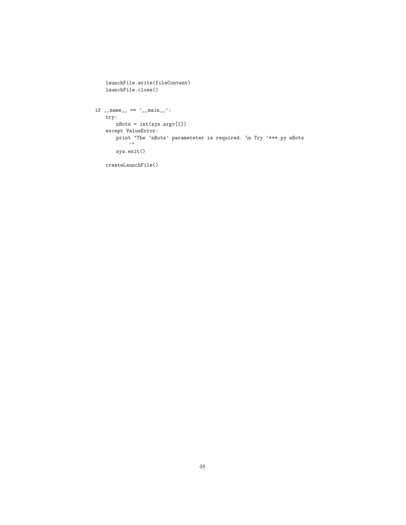```
launchFile.write(fileContent)
   launchFile.close()
if __name__ == '__main__':
   try:
      nBots = int(sys.argv[1])
   except ValueError:
       print "The 'nBots' parameteter is required. \n Try '***.py nBots
           \rightarrow 11
       sys.exit()
   createLaunchFile()
```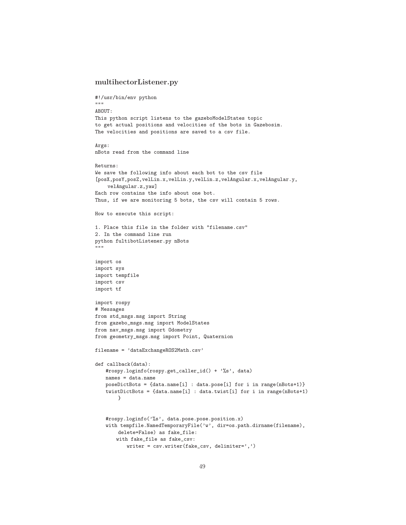#### **multihectorListener.py**

```
#!/usr/bin/env python
"""
ABOUT:
This python script listens to the gazeboModelStates topic
to get actual positions and velocities of the bots in Gazebosim.
The velocities and positions are saved to a csv file.
Args:
nBots read from the command line
Returns:
We save the following info about each bot to the csv file
[posX,posY,posZ,velLin.x,velLin.y,velLin.z,velAngular.x,velAngular.y,
    velAngular.z,yaw]
Each row contains the info about one bot.
Thus, if we are monitoring 5 bots, the csv will contain 5 rows.
How to execute this script:
1. Place this file in the folder with "filename.csv"
2. In the command line run
python fultibotListener.py nBots
"""
import os
import sys
import tempfile
import csv
import tf
import rospy
# Messages
from std_msgs.msg import String
from gazebo_msgs.msg import ModelStates
from nav_msgs.msg import Odometry
from geometry_msgs.msg import Point, Quaternion
filename = 'dataExchangeROS2Math.csv'
def callback(data):
   #rospy.loginfo(rospy.get_caller_id() + '%s', data)
   names = data.name
   poseDictBots = {data.name[i] : data.pose[i] for i in range(nBots+1)}
   twistDictBots = {data.name[i] : data.twist[i] for i in range(nBots+1)
        }
   #rospy.loginfo('%s', data.pose.pose.position.x)
   with tempfile.NamedTemporaryFile('w', dir=os.path.dirname(filename),
       delete=False) as fake_file:
       with fake_file as fake_csv:
           writer = csv.writer(fake_csv, delimiter=',')
```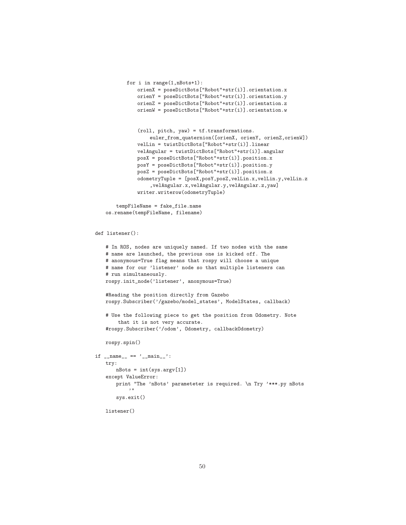```
for i in range(1,nBots+1):
          orienX = poseDictBots["Robot"+str(i)].orientation.x
          orienY = poseDictBots["Robot"+str(i)].orientation.y
          orienZ = poseDictBots["Robot"+str(i)].orientation.z
          orienW = poseDictBots["Robot"+str(i)].orientation.w
           (roll, pitch, yaw) = tf.transformations.
               euler_from_quaternion([orienX, orienY, orienZ, orienW])
          velLin = twistDictBots["Robot"+str(i)].linear
          velAngular = twistDictBots["Robot"+str(i)].angular
          posX = poseDictBots["Robot"+str(i)].position.x
          posY = poseDictBots["Robot"+str(i)].position.y
          posZ = poseDictBots["Robot"+str(i)].position.z
          odometryTuple = [posX,posY,posZ,velLin.x,velLin.y,velLin.z
               ,velAngular.x,velAngular.y,velAngular.z,yaw]
          writer.writerow(odometryTuple)
   tempFileName = fake_file.name
os.rename(tempFileName, filename)
```

```
def listener():
```

```
# In ROS, nodes are uniquely named. If two nodes with the same
   # name are launched, the previous one is kicked off. The
   # anonymous=True flag means that rospy will choose a unique
   # name for our 'listener' node so that multiple listeners can
   # run simultaneously.
   rospy.init_node('listener', anonymous=True)
   #Reading the position directly from Gazebo
   rospy.Subscriber('/gazebo/model_states', ModelStates, callback)
   # Use the following piece to get the position from Odometry. Note
       that it is not very accurate.
   #rospy.Subscriber('/odom', Odometry, callbackOdometry)
   rospy.spin()
if __name__ == '__main__':
   try:
      nBots = int(sys.argv[1])
   except ValueError:
       print "The 'nBots' parameteter is required. \n Try '***.py nBots
           ^{\prime}"
       sys.exit()
   listener()
```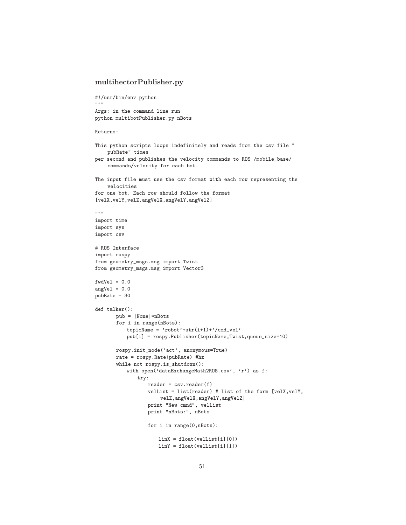#### **multihectorPublisher.py**

```
#!/usr/bin/env python
"""
Args: in the command line run
python multibotPublisher.py nBots
```

```
Returns:
```

```
This python scripts loops indefinitely and reads from the csv file "
    pubRate" times
per second and publishes the velocity commands to ROS /mobile_base/
    commands/velocity for each bot.
The input file must use the csv format with each row representing the
    velocities
for one bot. Each row should follow the format
[velX,velY,velZ,angVelX,angVelY,angVelZ]
" "" "
import time
import sys
import csv
# ROS Interface
import rospy
from geometry_msgs.msg import Twist
from geometry_msgs.msg import Vector3
fwdVel = 0.0angVel = 0.0pubRate = 30
def talker():
       pub = [None]*nBots
       for i in range(nBots):
          topicName = 'robot'+str(i+1)+'/cmd_vel'
          pub[i] = rospy.Publisher(topicName,Twist,queue_size=10)
       rospy.init_node('act', anonymous=True)
       rate = rospy.Rate(pubRate) #hz
       while not rospy.is_shutdown():
          with open('dataExchangeMath2ROS.csv', 'r') as f:
              try:
                  reader = csv.reader(f)velList = list(reader) # list of the form [velX,velY,
                      velZ,angVelX,angVelY,angVelZ]
                  print "New cmnd", velList
                  print "nBots:", nBots
                  for i in range(0,nBots):
                     linX = float(velList[i][0])
                     linY = float(velList[i][1])
```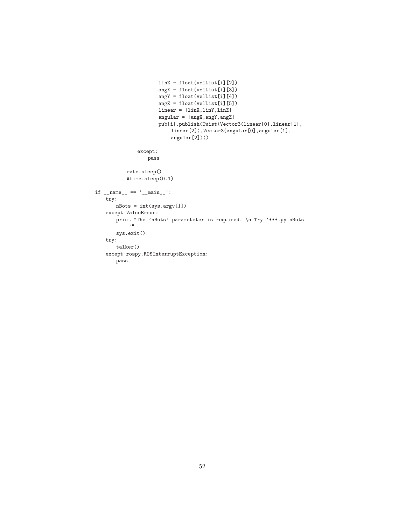```
linZ = float(vellist[i][2])angX = float(velList[i][3])
                      angY = float(velList[i][4])
                      angZ = float(velList[i][5])
                      linear = [linX,linY,linZ]
                      angular = [angX, angY, angZ]pub[i].publish(Twist(Vector3(linear[0],linear[1],
                          linear[2]),Vector3(angular[0],angular[1],
                          angular[2])))
              except:
                  pass
          rate.sleep()
          #time.sleep(0.1)
if __name__ == '__main__':
   try:
      nBots = int(sys.argv[1])
   except ValueError:
      print "The 'nBots' parameteter is required. \n Try '***.py nBots
          \rightarrow 0sys.exit()
   try:
       talker()
   except rospy.ROSInterruptException:
      pass
```